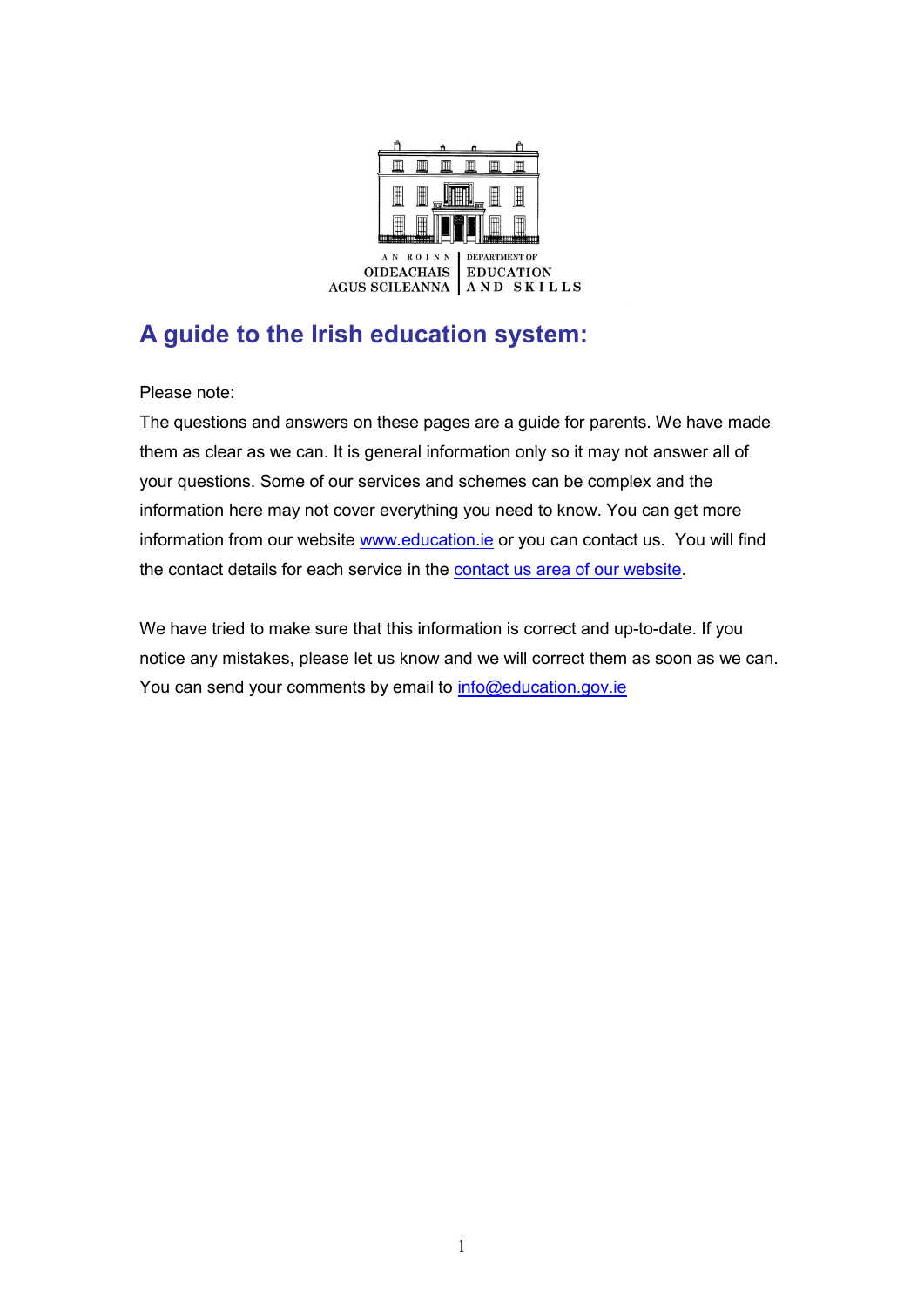

# **A guide to the Irish education system:**

Please note:

The questions and answers on these pages are a guide for parents. We have made them as clear as we can. It is general information only so it may not answer all of your questions. Some of our services and schemes can be complex and the information here may not cover everything you need to know. You can get more information from our website www.education.ie or you can contact us. You will find the contact details for each service in the contact us area of our website.

We have tried to make sure that this information is correct and up-to-date. If you notice any mistakes, please let us know and we will correct them as soon as we can. You can send your comments by email to info@education.gov.ie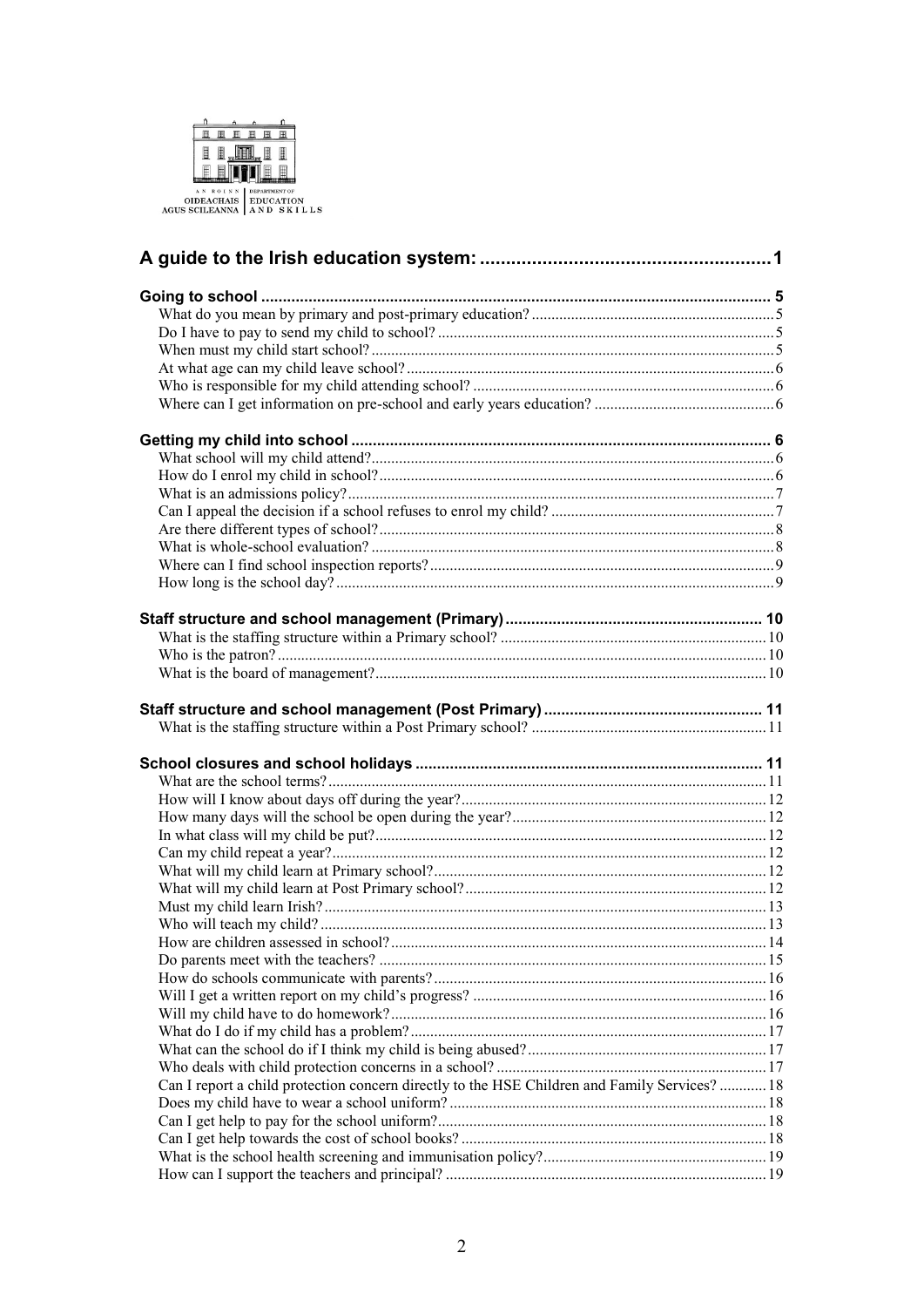

| Can I report a child protection concern directly to the HSE Children and Family Services?  18 |  |
|-----------------------------------------------------------------------------------------------|--|
|                                                                                               |  |
|                                                                                               |  |
|                                                                                               |  |
|                                                                                               |  |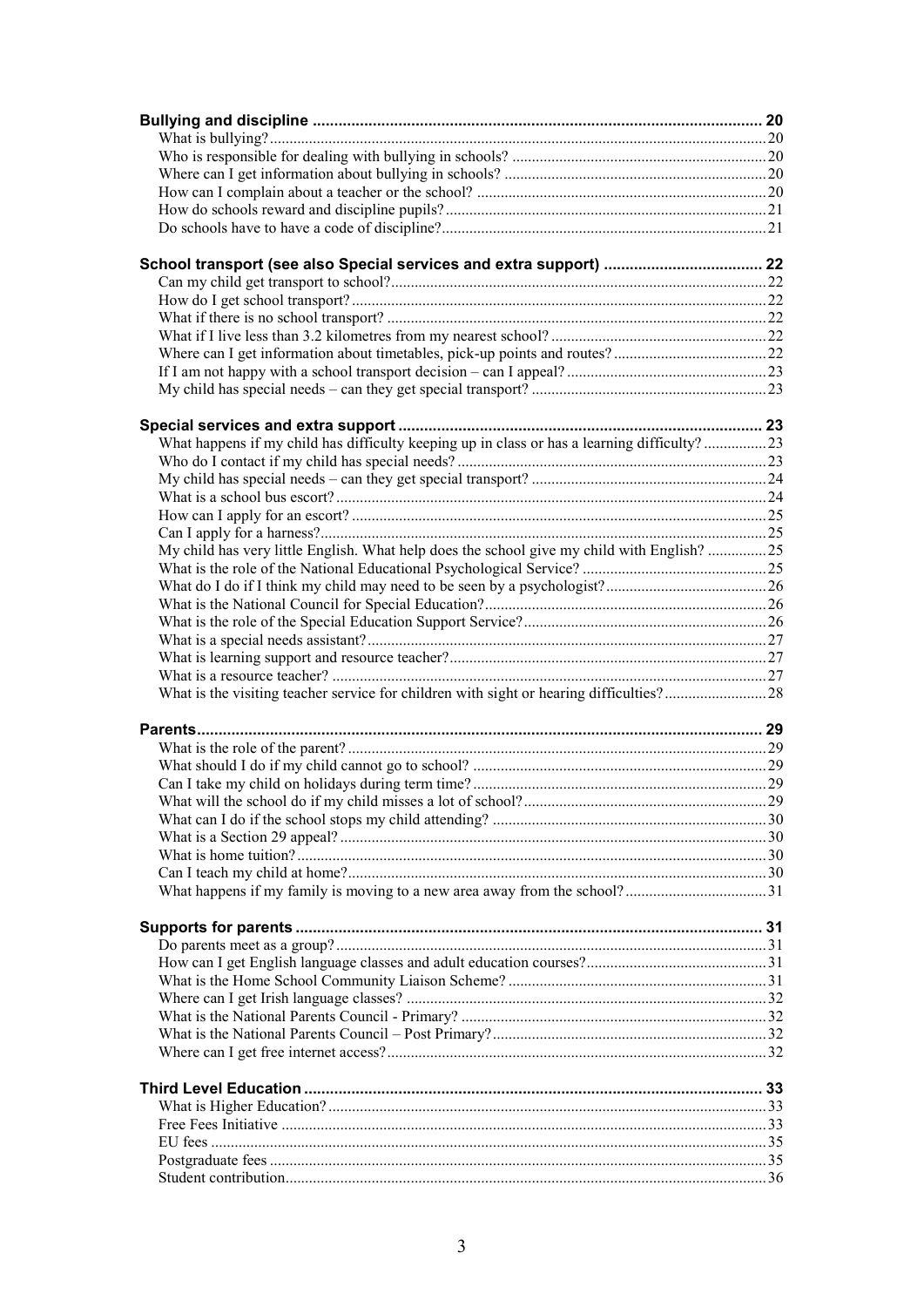| What happens if my child has difficulty keeping up in class or has a learning difficulty?23 |  |
|---------------------------------------------------------------------------------------------|--|
|                                                                                             |  |
|                                                                                             |  |
|                                                                                             |  |
|                                                                                             |  |
|                                                                                             |  |
| My child has very little English. What help does the school give my child with English?25   |  |
|                                                                                             |  |
|                                                                                             |  |
|                                                                                             |  |
|                                                                                             |  |
|                                                                                             |  |
|                                                                                             |  |
|                                                                                             |  |
|                                                                                             |  |
|                                                                                             |  |
|                                                                                             |  |
|                                                                                             |  |
|                                                                                             |  |
|                                                                                             |  |
|                                                                                             |  |
|                                                                                             |  |
|                                                                                             |  |
|                                                                                             |  |
|                                                                                             |  |
|                                                                                             |  |
|                                                                                             |  |
|                                                                                             |  |
|                                                                                             |  |
|                                                                                             |  |
|                                                                                             |  |
|                                                                                             |  |
|                                                                                             |  |
|                                                                                             |  |
|                                                                                             |  |
|                                                                                             |  |
|                                                                                             |  |
|                                                                                             |  |
|                                                                                             |  |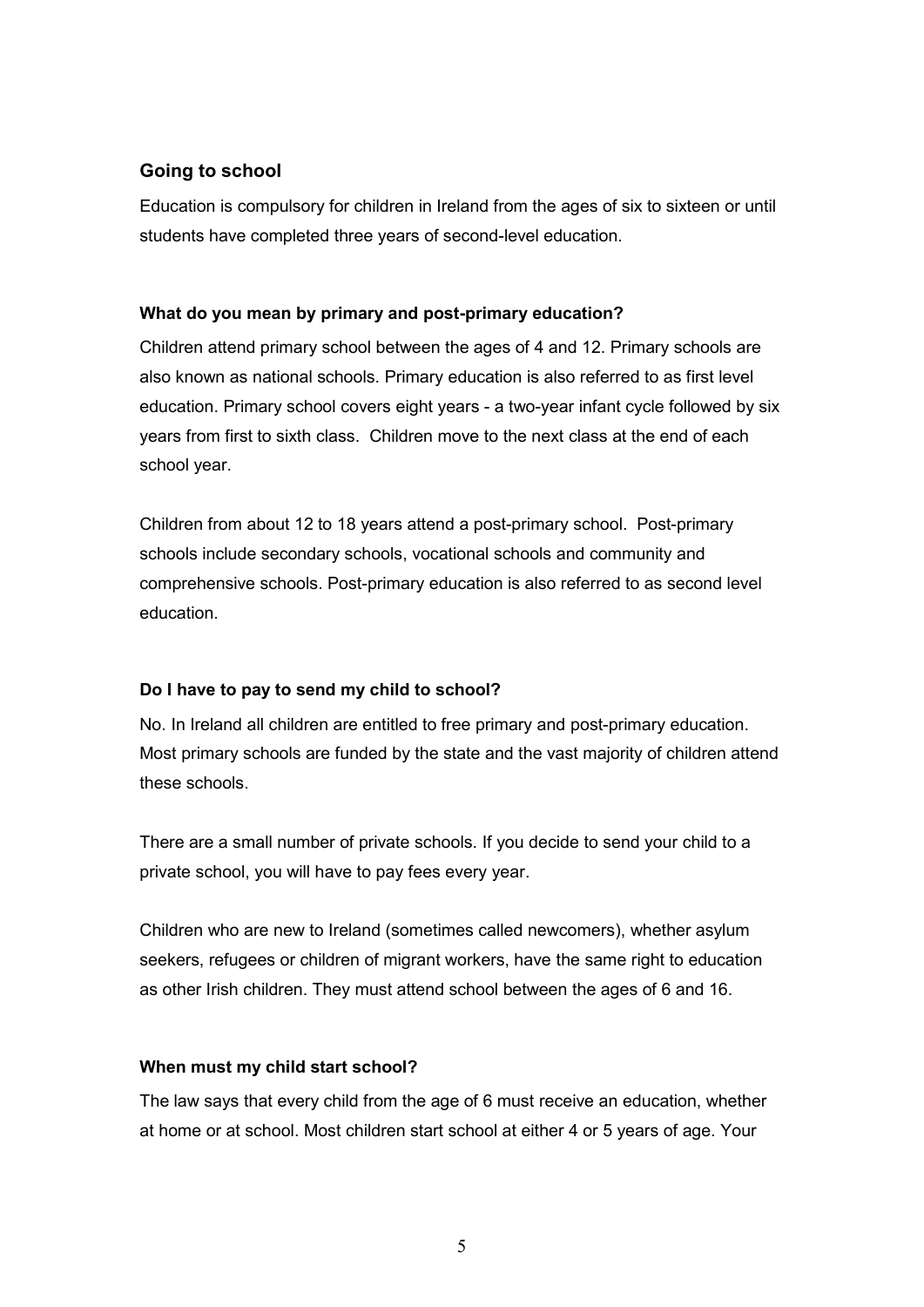## **Going to school**

Education is compulsory for children in Ireland from the ages of six to sixteen or until students have completed three years of second-level education.

#### **What do you mean by primary and post-primary education?**

Children attend primary school between the ages of 4 and 12. Primary schools are also known as national schools. Primary education is also referred to as first level education. Primary school covers eight years - a two-year infant cycle followed by six years from first to sixth class. Children move to the next class at the end of each school year.

Children from about 12 to 18 years attend a post-primary school. Post-primary schools include secondary schools, vocational schools and community and comprehensive schools. Post-primary education is also referred to as second level education.

### **Do I have to pay to send my child to school?**

No. In Ireland all children are entitled to free primary and post-primary education. Most primary schools are funded by the state and the vast majority of children attend these schools.

There are a small number of private schools. If you decide to send your child to a private school, you will have to pay fees every year.

Children who are new to Ireland (sometimes called newcomers), whether asylum seekers, refugees or children of migrant workers, have the same right to education as other Irish children. They must attend school between the ages of 6 and 16.

#### **When must my child start school?**

The law says that every child from the age of 6 must receive an education, whether at home or at school. Most children start school at either 4 or 5 years of age. Your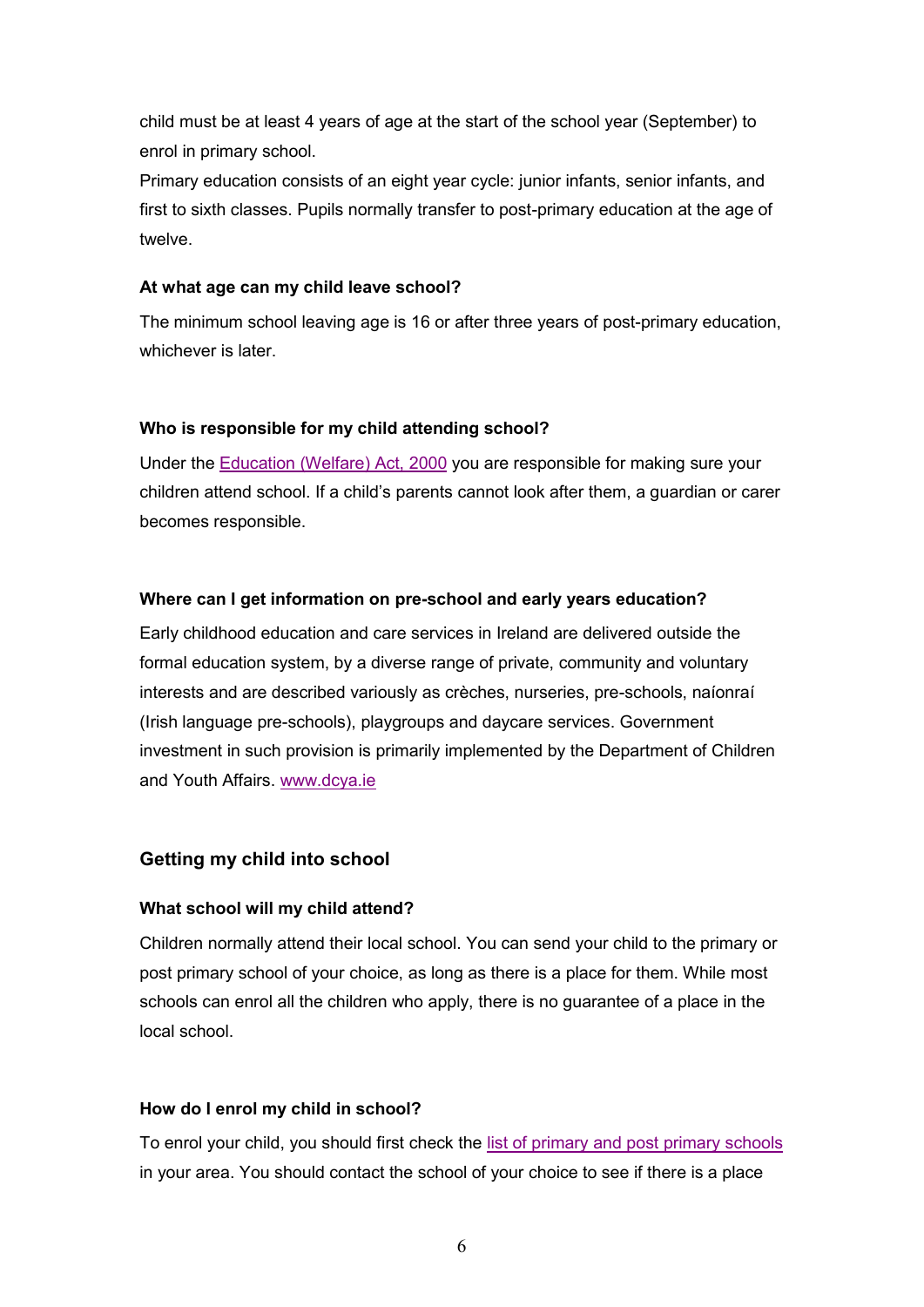child must be at least 4 years of age at the start of the school year (September) to enrol in primary school.

Primary education consists of an eight year cycle: junior infants, senior infants, and first to sixth classes. Pupils normally transfer to post-primary education at the age of twelve.

#### **At what age can my child leave school?**

The minimum school leaving age is 16 or after three years of post-primary education, whichever is later.

#### **Who is responsible for my child attending school?**

Under the Education (Welfare) Act, 2000 you are responsible for making sure your children attend school. If a child's parents cannot look after them, a guardian or carer becomes responsible.

#### **Where can I get information on pre-school and early years education?**

Early childhood education and care services in Ireland are delivered outside the formal education system, by a diverse range of private, community and voluntary interests and are described variously as crèches, nurseries, pre-schools, naíonraí (Irish language pre-schools), playgroups and daycare services. Government investment in such provision is primarily implemented by the Department of Children and Youth Affairs. www.dcya.ie

#### **Getting my child into school**

#### **What school will my child attend?**

Children normally attend their local school. You can send your child to the primary or post primary school of your choice, as long as there is a place for them. While most schools can enrol all the children who apply, there is no guarantee of a place in the local school.

#### **How do I enrol my child in school?**

To enrol your child, you should first check the list of primary and post primary schools in your area. You should contact the school of your choice to see if there is a place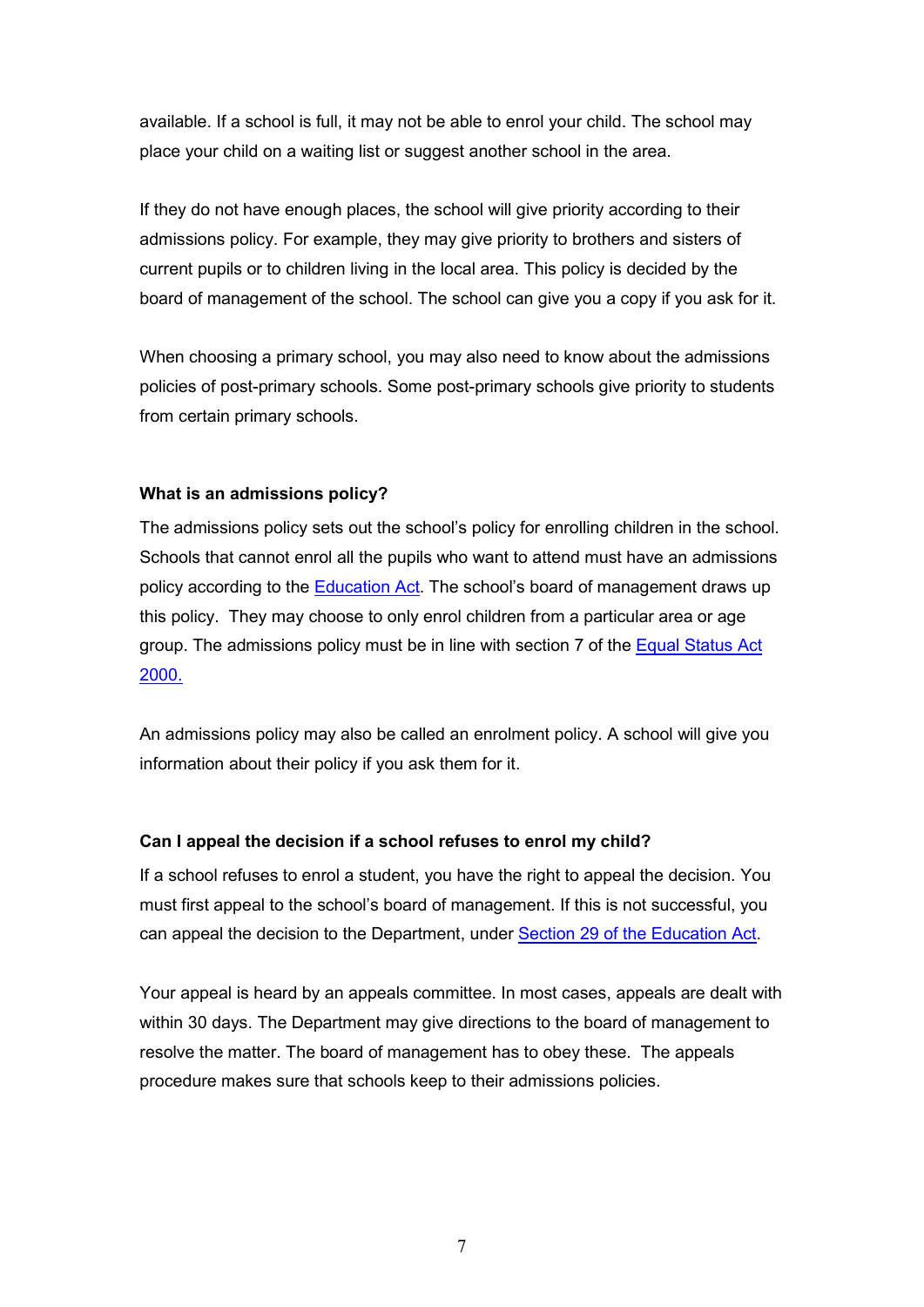available. If a school is full, it may not be able to enrol your child. The school may place your child on a waiting list or suggest another school in the area.

If they do not have enough places, the school will give priority according to their admissions policy. For example, they may give priority to brothers and sisters of current pupils or to children living in the local area. This policy is decided by the board of management of the school. The school can give you a copy if you ask for it.

When choosing a primary school, you may also need to know about the admissions policies of post-primary schools. Some post-primary schools give priority to students from certain primary schools.

#### **What is an admissions policy?**

The admissions policy sets out the school's policy for enrolling children in the school. Schools that cannot enrol all the pupils who want to attend must have an admissions policy according to the Education Act. The school's board of management draws up this policy. They may choose to only enrol children from a particular area or age group. The admissions policy must be in line with section 7 of the Equal Status Act 2000.

An admissions policy may also be called an enrolment policy. A school will give you information about their policy if you ask them for it.

### **Can I appeal the decision if a school refuses to enrol my child?**

If a school refuses to enrol a student, you have the right to appeal the decision. You must first appeal to the school's board of management. If this is not successful, you can appeal the decision to the Department, under Section 29 of the Education Act.

Your appeal is heard by an appeals committee. In most cases, appeals are dealt with within 30 days. The Department may give directions to the board of management to resolve the matter. The board of management has to obey these. The appeals procedure makes sure that schools keep to their admissions policies.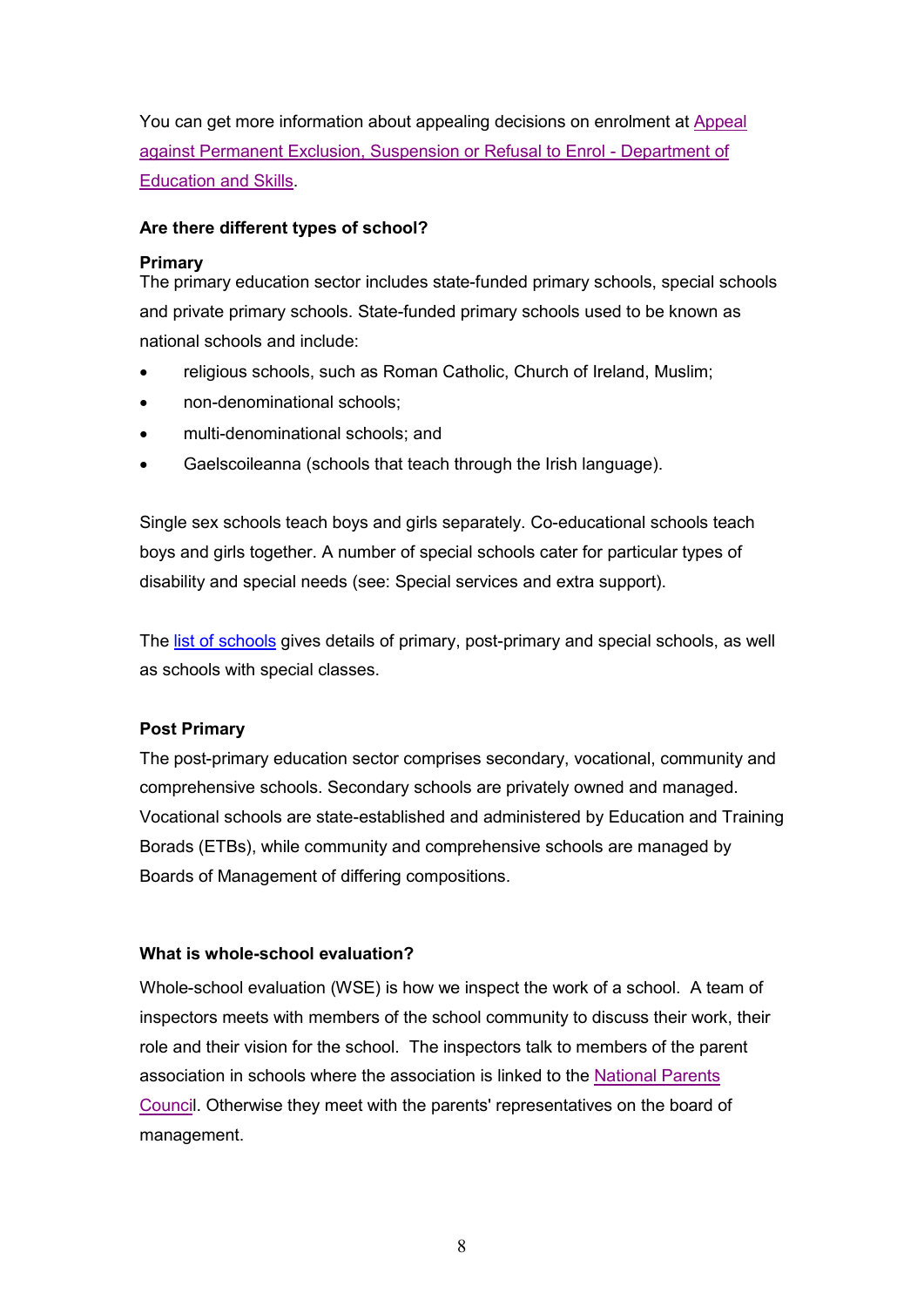You can get more information about appealing decisions on enrolment at Appeal against Permanent Exclusion, Suspension or Refusal to Enrol - Department of Education and Skills.

#### **Are there different types of school?**

#### **Primary**

The primary education sector includes state-funded primary schools, special schools and private primary schools. State-funded primary schools used to be known as national schools and include:

- religious schools, such as Roman Catholic, Church of Ireland, Muslim;
- non-denominational schools;
- multi-denominational schools; and
- Gaelscoileanna (schools that teach through the Irish language).

Single sex schools teach boys and girls separately. Co-educational schools teach boys and girls together. A number of special schools cater for particular types of disability and special needs (see: Special services and extra support).

The list of schools gives details of primary, post-primary and special schools, as well as schools with special classes.

### **Post Primary**

The post-primary education sector comprises secondary, vocational, community and comprehensive schools. Secondary schools are privately owned and managed. Vocational schools are state-established and administered by Education and Training Borads (ETBs), while community and comprehensive schools are managed by Boards of Management of differing compositions.

### **What is whole-school evaluation?**

Whole-school evaluation (WSE) is how we inspect the work of a school. A team of inspectors meets with members of the school community to discuss their work, their role and their vision for the school. The inspectors talk to members of the parent association in schools where the association is linked to the National Parents Council. Otherwise they meet with the parents' representatives on the board of management.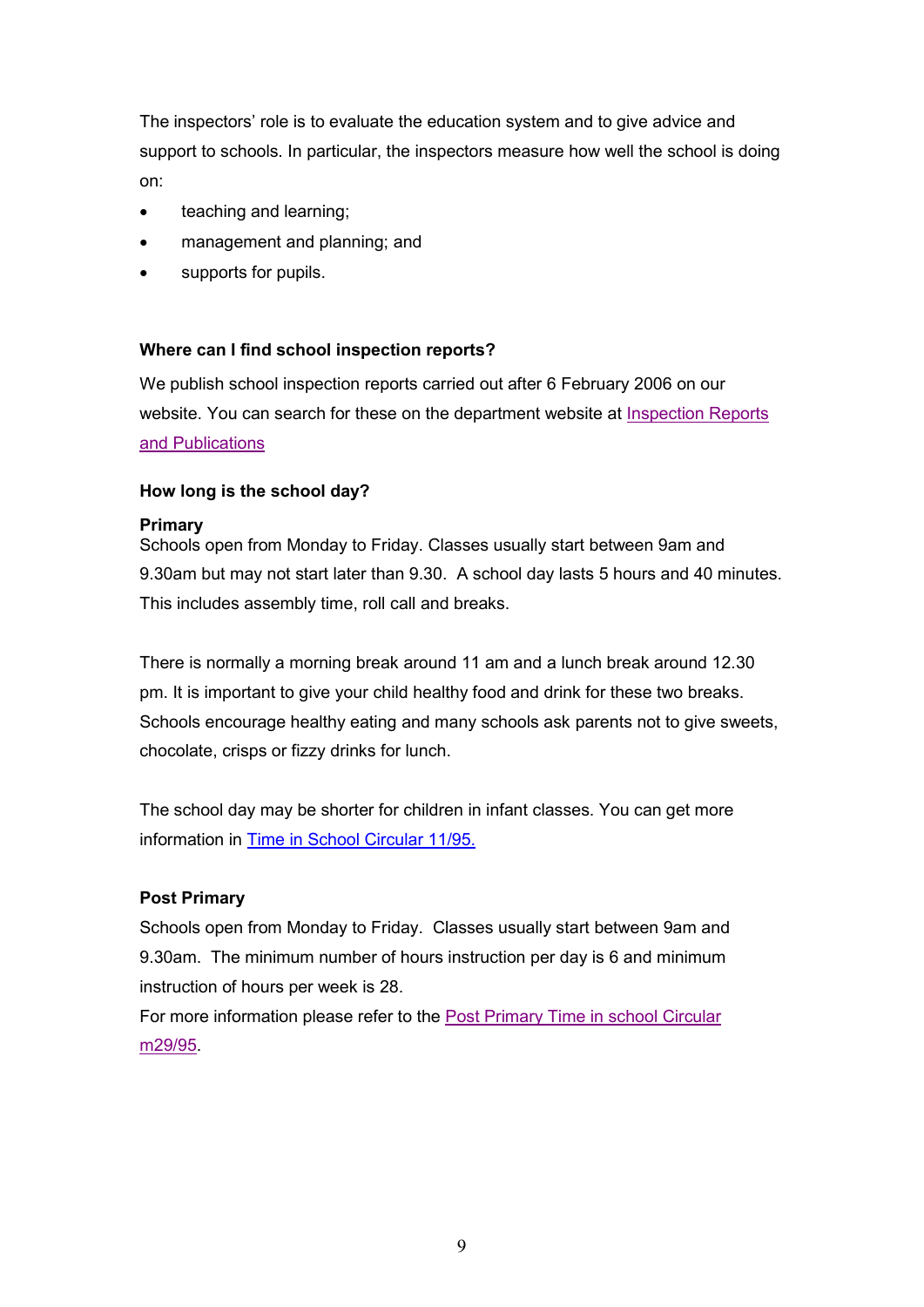The inspectors' role is to evaluate the education system and to give advice and support to schools. In particular, the inspectors measure how well the school is doing on:

- teaching and learning;
- management and planning; and
- supports for pupils.

#### **Where can I find school inspection reports?**

We publish school inspection reports carried out after 6 February 2006 on our website. You can search for these on the department website at **Inspection Reports** and Publications

#### **How long is the school day?**

#### **Primary**

Schools open from Monday to Friday. Classes usually start between 9am and 9.30am but may not start later than 9.30. A school day lasts 5 hours and 40 minutes. This includes assembly time, roll call and breaks.

There is normally a morning break around 11 am and a lunch break around 12.30 pm. It is important to give your child healthy food and drink for these two breaks. Schools encourage healthy eating and many schools ask parents not to give sweets, chocolate, crisps or fizzy drinks for lunch.

The school day may be shorter for children in infant classes. You can get more information in Time in School Circular 11/95.

#### **Post Primary**

Schools open from Monday to Friday. Classes usually start between 9am and 9.30am. The minimum number of hours instruction per day is 6 and minimum instruction of hours per week is 28.

For more information please refer to the Post Primary Time in school Circular m29/95.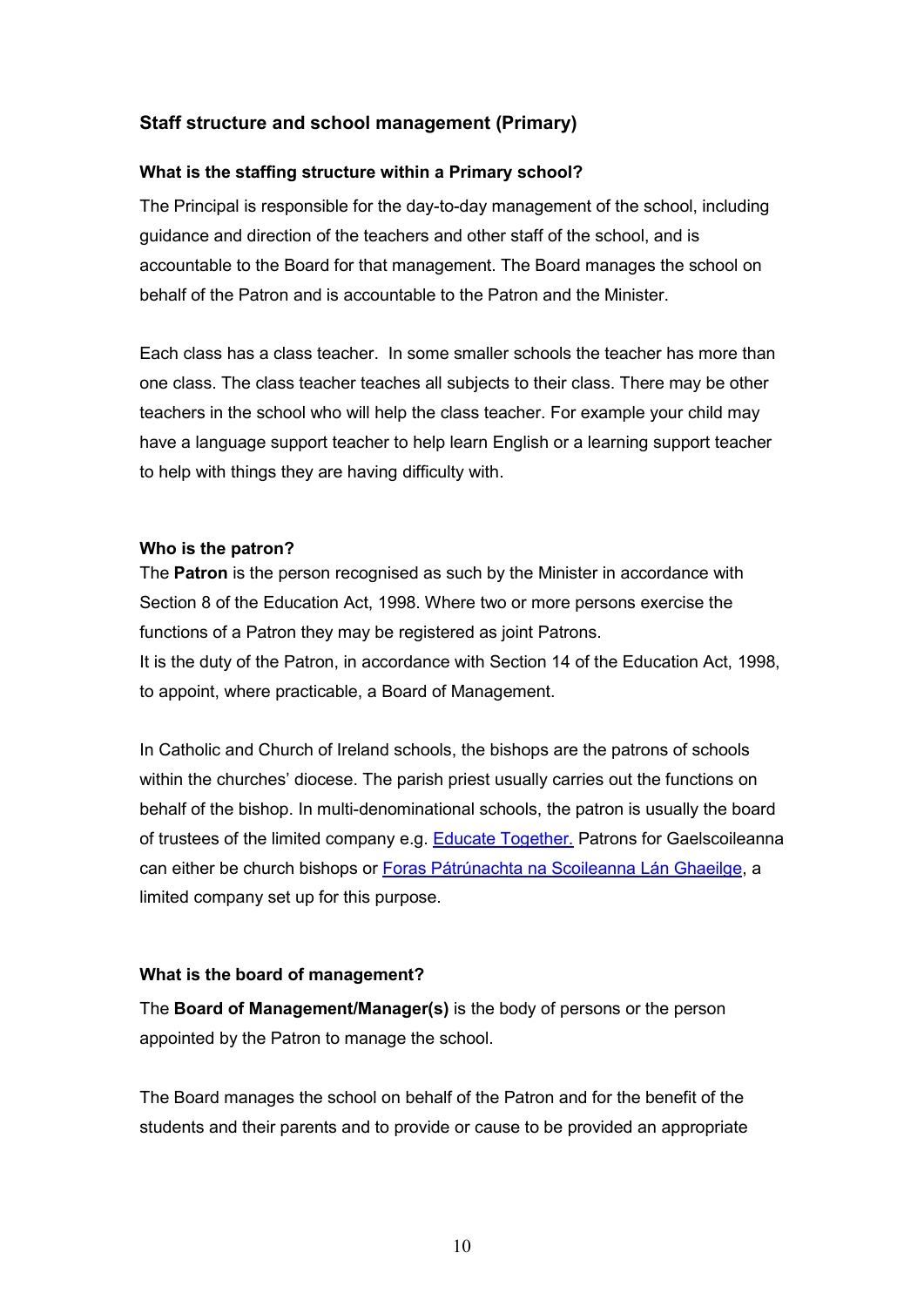# **Staff structure and school management (Primary)**

#### **What is the staffing structure within a Primary school?**

The Principal is responsible for the day-to-day management of the school, including guidance and direction of the teachers and other staff of the school, and is accountable to the Board for that management. The Board manages the school on behalf of the Patron and is accountable to the Patron and the Minister.

Each class has a class teacher. In some smaller schools the teacher has more than one class. The class teacher teaches all subjects to their class. There may be other teachers in the school who will help the class teacher. For example your child may have a language support teacher to help learn English or a learning support teacher to help with things they are having difficulty with.

#### **Who is the patron?**

The **Patron** is the person recognised as such by the Minister in accordance with Section 8 of the Education Act, 1998. Where two or more persons exercise the functions of a Patron they may be registered as joint Patrons. It is the duty of the Patron, in accordance with Section 14 of the Education Act, 1998, to appoint, where practicable, a Board of Management.

In Catholic and Church of Ireland schools, the bishops are the patrons of schools within the churches' diocese. The parish priest usually carries out the functions on behalf of the bishop. In multi-denominational schools, the patron is usually the board of trustees of the limited company e.g. **Educate Together.** Patrons for Gaelscoileanna can either be church bishops or Foras Pátrúnachta na Scoileanna Lán Ghaeilge, a limited company set up for this purpose.

#### **What is the board of management?**

The **Board of Management/Manager(s)** is the body of persons or the person appointed by the Patron to manage the school.

The Board manages the school on behalf of the Patron and for the benefit of the students and their parents and to provide or cause to be provided an appropriate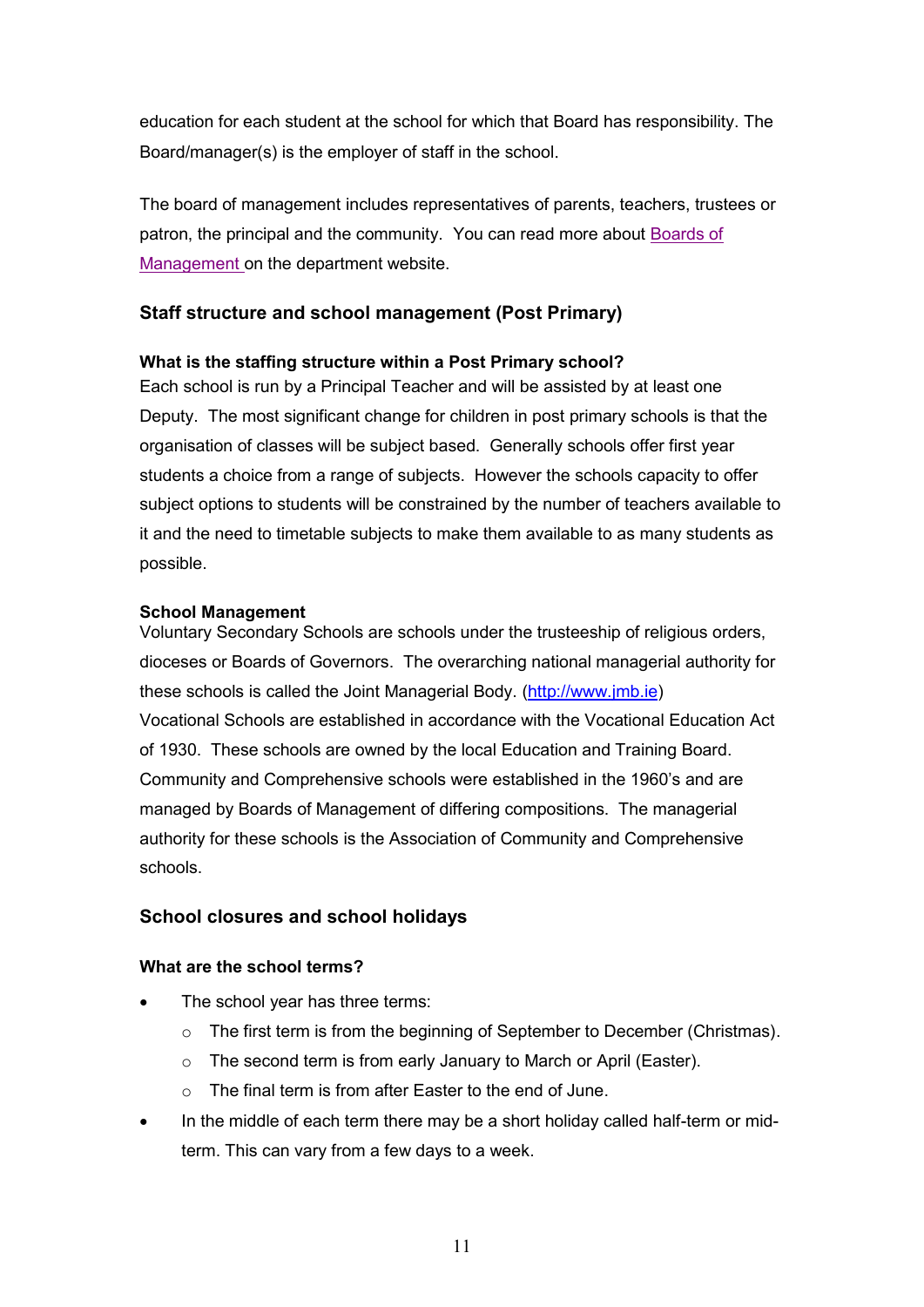education for each student at the school for which that Board has responsibility. The Board/manager(s) is the employer of staff in the school.

The board of management includes representatives of parents, teachers, trustees or patron, the principal and the community. You can read more about Boards of Management on the department website.

# **Staff structure and school management (Post Primary)**

#### **What is the staffing structure within a Post Primary school?**

Each school is run by a Principal Teacher and will be assisted by at least one Deputy. The most significant change for children in post primary schools is that the organisation of classes will be subject based. Generally schools offer first year students a choice from a range of subjects. However the schools capacity to offer subject options to students will be constrained by the number of teachers available to it and the need to timetable subjects to make them available to as many students as possible.

#### **School Management**

Voluntary Secondary Schools are schools under the trusteeship of religious orders, dioceses or Boards of Governors. The overarching national managerial authority for these schools is called the Joint Managerial Body. (http://www.jmb.ie) Vocational Schools are established in accordance with the Vocational Education Act of 1930. These schools are owned by the local Education and Training Board. Community and Comprehensive schools were established in the 1960's and are managed by Boards of Management of differing compositions. The managerial authority for these schools is the Association of Community and Comprehensive schools.

### **School closures and school holidays**

#### **What are the school terms?**

- The school year has three terms:
	- $\circ$  The first term is from the beginning of September to December (Christmas).
	- $\circ$  The second term is from early January to March or April (Easter).
	- o The final term is from after Easter to the end of June.
- In the middle of each term there may be a short holiday called half-term or midterm. This can vary from a few days to a week.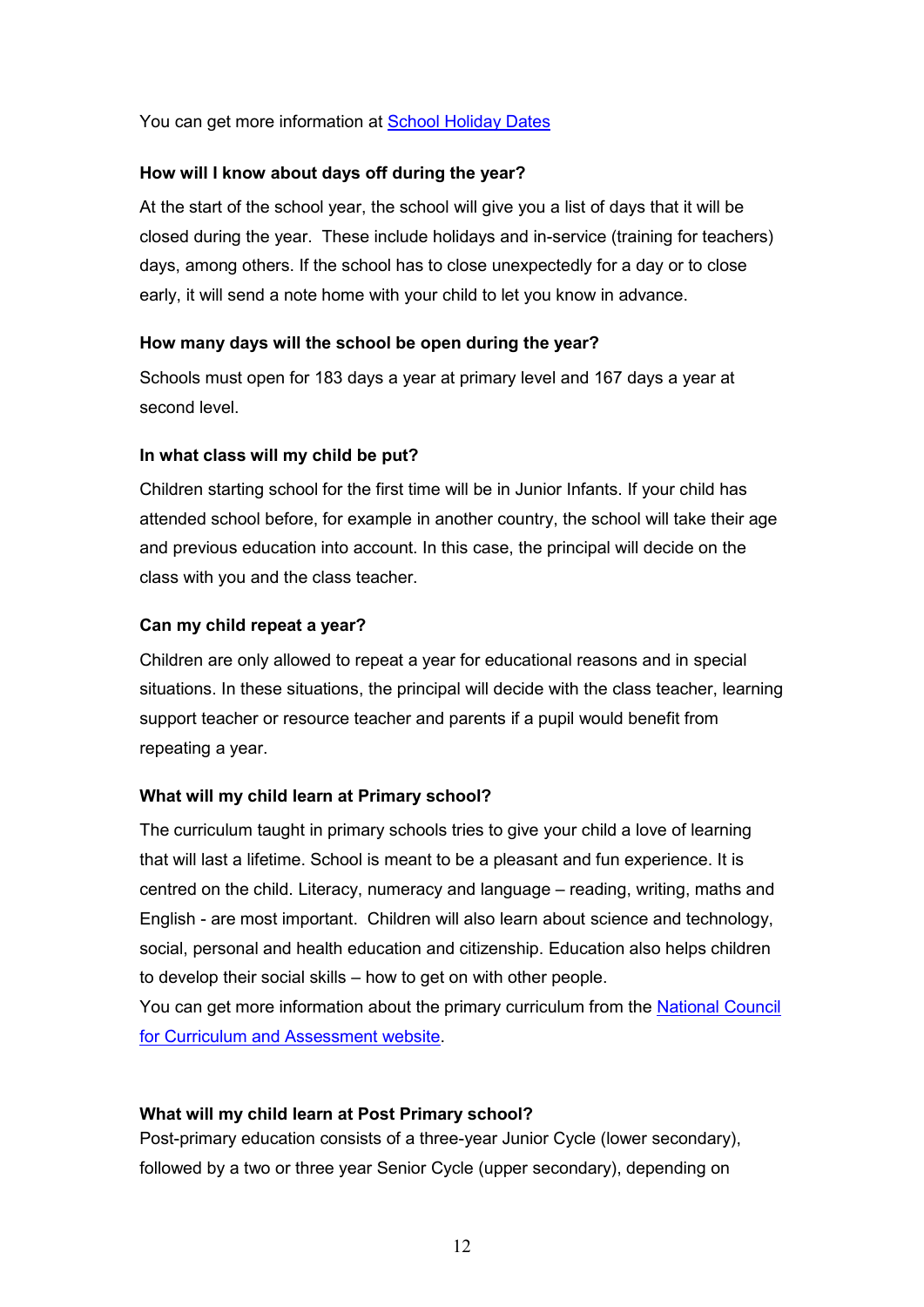You can get more information at School Holiday Dates

#### **How will I know about days off during the year?**

At the start of the school year, the school will give you a list of days that it will be closed during the year. These include holidays and in-service (training for teachers) days, among others. If the school has to close unexpectedly for a day or to close early, it will send a note home with your child to let you know in advance.

#### **How many days will the school be open during the year?**

Schools must open for 183 days a year at primary level and 167 days a year at second level.

#### **In what class will my child be put?**

Children starting school for the first time will be in Junior Infants. If your child has attended school before, for example in another country, the school will take their age and previous education into account. In this case, the principal will decide on the class with you and the class teacher.

#### **Can my child repeat a year?**

Children are only allowed to repeat a year for educational reasons and in special situations. In these situations, the principal will decide with the class teacher, learning support teacher or resource teacher and parents if a pupil would benefit from repeating a year.

### **What will my child learn at Primary school?**

The curriculum taught in primary schools tries to give your child a love of learning that will last a lifetime. School is meant to be a pleasant and fun experience. It is centred on the child. Literacy, numeracy and language – reading, writing, maths and English - are most important. Children will also learn about science and technology, social, personal and health education and citizenship. Education also helps children to develop their social skills – how to get on with other people.

You can get more information about the primary curriculum from the National Council for Curriculum and Assessment website.

### **What will my child learn at Post Primary school?**

Post-primary education consists of a three-year Junior Cycle (lower secondary), followed by a two or three year Senior Cycle (upper secondary), depending on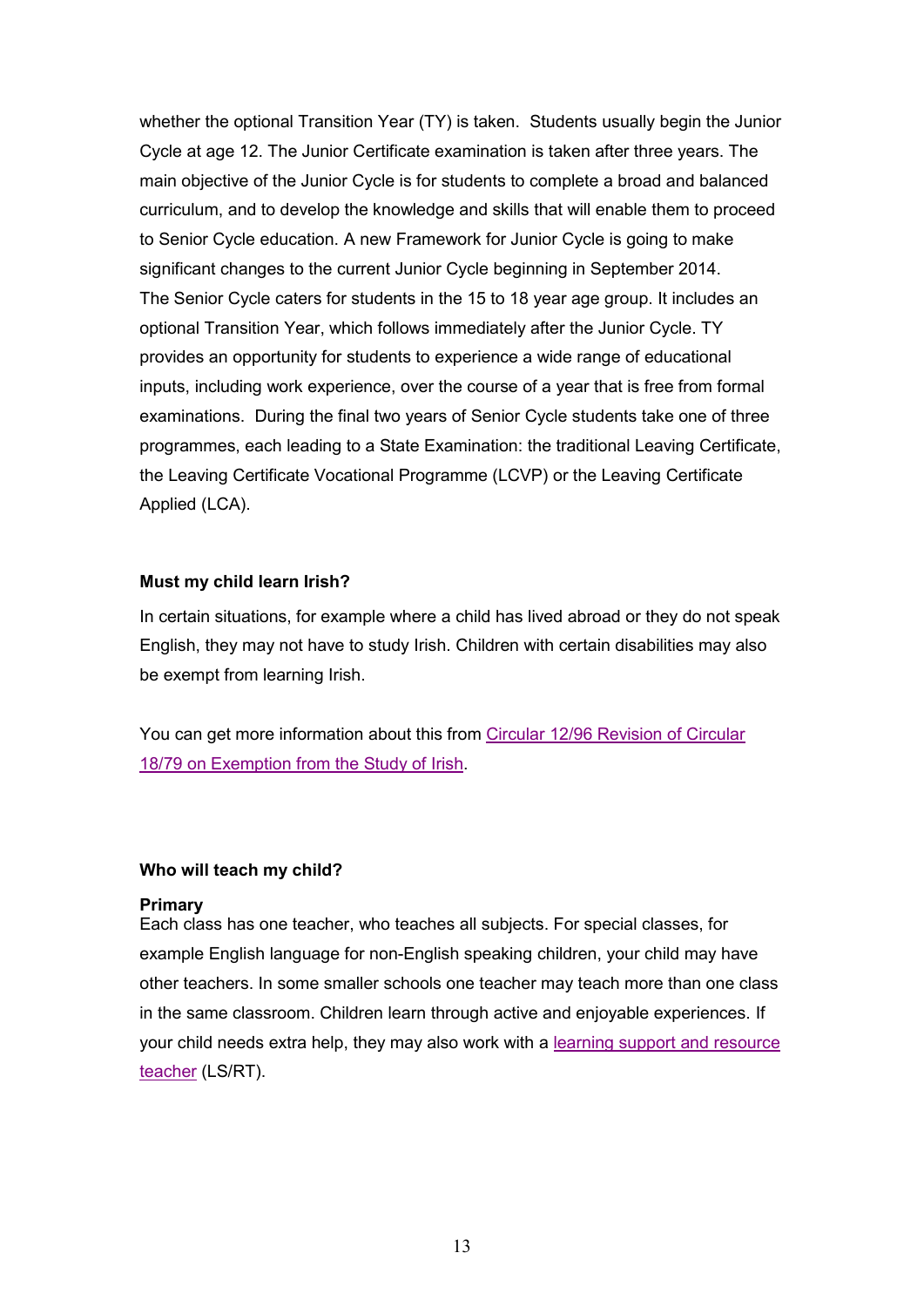whether the optional Transition Year (TY) is taken. Students usually begin the Junior Cycle at age 12. The Junior Certificate examination is taken after three years. The main objective of the Junior Cycle is for students to complete a broad and balanced curriculum, and to develop the knowledge and skills that will enable them to proceed to Senior Cycle education. A new Framework for Junior Cycle is going to make significant changes to the current Junior Cycle beginning in September 2014. The Senior Cycle caters for students in the 15 to 18 year age group. It includes an optional Transition Year, which follows immediately after the Junior Cycle. TY provides an opportunity for students to experience a wide range of educational inputs, including work experience, over the course of a year that is free from formal examinations. During the final two years of Senior Cycle students take one of three programmes, each leading to a State Examination: the traditional Leaving Certificate, the Leaving Certificate Vocational Programme (LCVP) or the Leaving Certificate Applied (LCA).

#### **Must my child learn Irish?**

In certain situations, for example where a child has lived abroad or they do not speak English, they may not have to study Irish. Children with certain disabilities may also be exempt from learning Irish.

You can get more information about this from Circular 12/96 Revision of Circular 18/79 on Exemption from the Study of Irish.

#### **Who will teach my child?**

#### **Primary**

Each class has one teacher, who teaches all subjects. For special classes, for example English language for non-English speaking children, your child may have other teachers. In some smaller schools one teacher may teach more than one class in the same classroom. Children learn through active and enjoyable experiences. If your child needs extra help, they may also work with a learning support and resource teacher (LS/RT).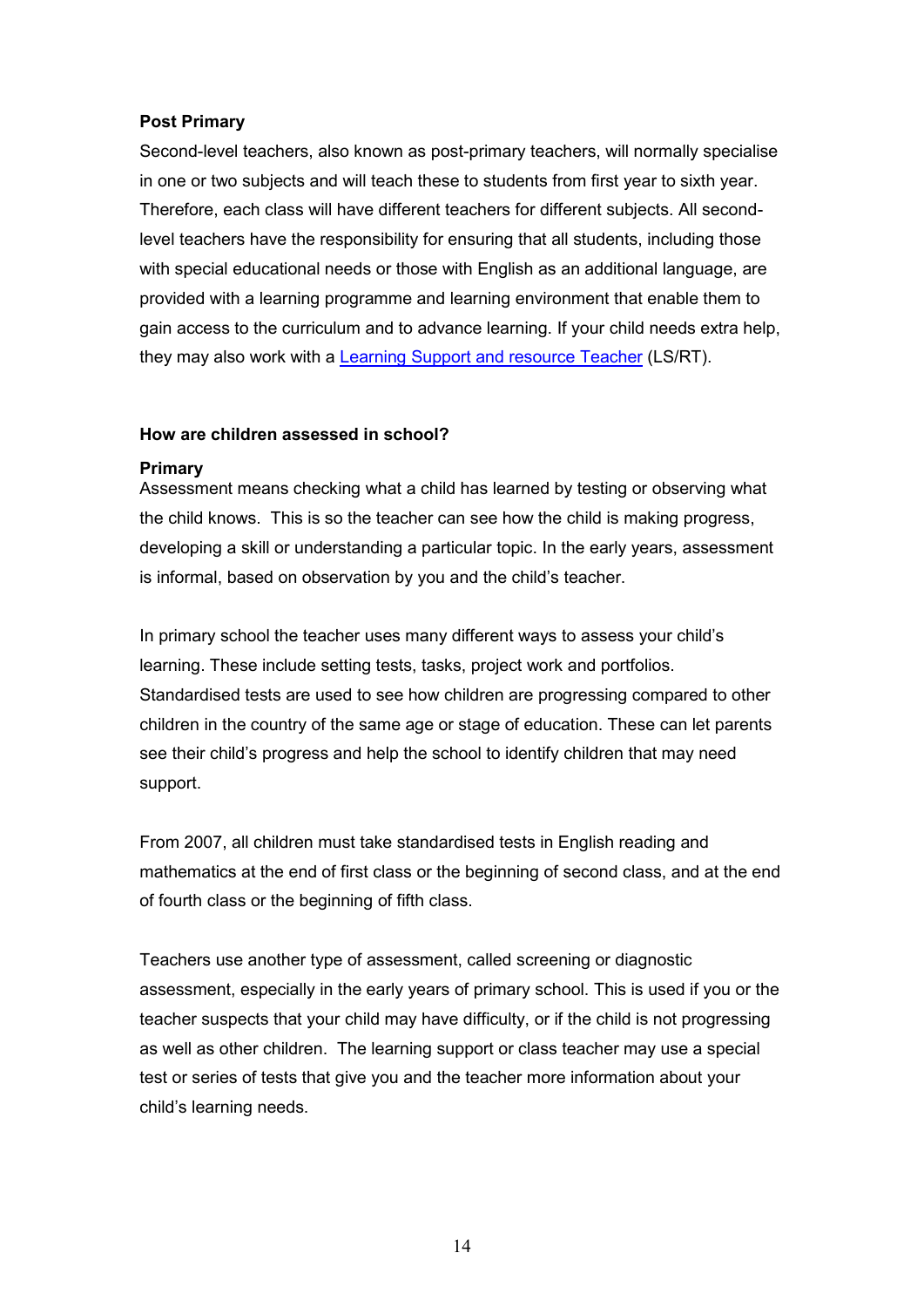#### **Post Primary**

Second-level teachers, also known as post-primary teachers, will normally specialise in one or two subjects and will teach these to students from first year to sixth year. Therefore, each class will have different teachers for different subjects. All secondlevel teachers have the responsibility for ensuring that all students, including those with special educational needs or those with English as an additional language, are provided with a learning programme and learning environment that enable them to gain access to the curriculum and to advance learning. If your child needs extra help, they may also work with a Learning Support and resource Teacher (LS/RT).

#### **How are children assessed in school?**

#### **Primary**

Assessment means checking what a child has learned by testing or observing what the child knows. This is so the teacher can see how the child is making progress, developing a skill or understanding a particular topic. In the early years, assessment is informal, based on observation by you and the child's teacher.

In primary school the teacher uses many different ways to assess your child's learning. These include setting tests, tasks, project work and portfolios. Standardised tests are used to see how children are progressing compared to other children in the country of the same age or stage of education. These can let parents see their child's progress and help the school to identify children that may need support.

From 2007, all children must take standardised tests in English reading and mathematics at the end of first class or the beginning of second class, and at the end of fourth class or the beginning of fifth class.

Teachers use another type of assessment, called screening or diagnostic assessment, especially in the early years of primary school. This is used if you or the teacher suspects that your child may have difficulty, or if the child is not progressing as well as other children. The learning support or class teacher may use a special test or series of tests that give you and the teacher more information about your child's learning needs.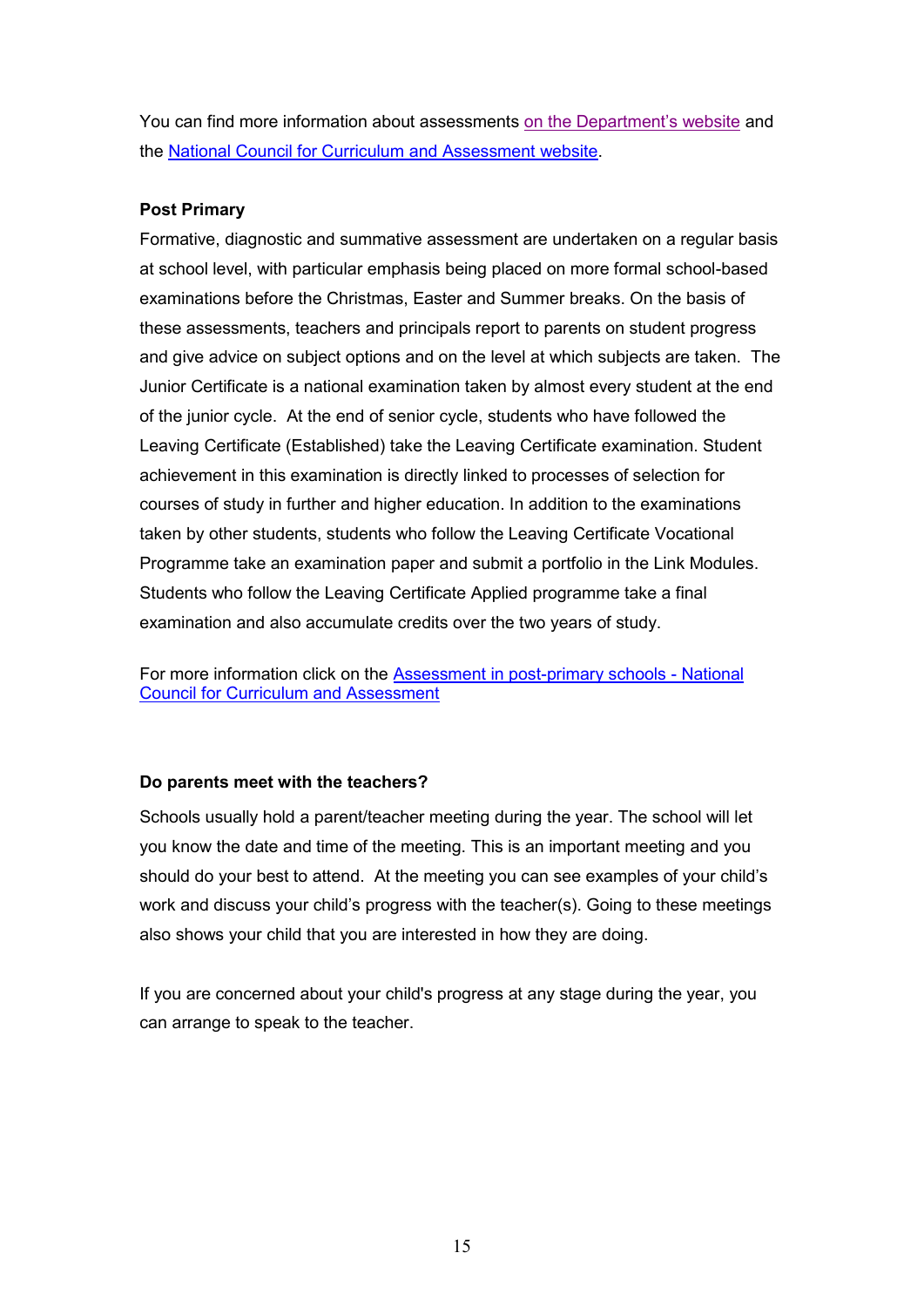You can find more information about assessments on the Department's website and the National Council for Curriculum and Assessment website.

### **Post Primary**

Formative, diagnostic and summative assessment are undertaken on a regular basis at school level, with particular emphasis being placed on more formal school-based examinations before the Christmas, Easter and Summer breaks. On the basis of these assessments, teachers and principals report to parents on student progress and give advice on subject options and on the level at which subjects are taken. The Junior Certificate is a national examination taken by almost every student at the end of the junior cycle. At the end of senior cycle, students who have followed the Leaving Certificate (Established) take the Leaving Certificate examination. Student achievement in this examination is directly linked to processes of selection for courses of study in further and higher education. In addition to the examinations taken by other students, students who follow the Leaving Certificate Vocational Programme take an examination paper and submit a portfolio in the Link Modules. Students who follow the Leaving Certificate Applied programme take a final examination and also accumulate credits over the two years of study.

For more information click on the Assessment in post-primary schools - National Council for Curriculum and Assessment

#### **Do parents meet with the teachers?**

Schools usually hold a parent/teacher meeting during the year. The school will let you know the date and time of the meeting. This is an important meeting and you should do your best to attend. At the meeting you can see examples of your child's work and discuss your child's progress with the teacher(s). Going to these meetings also shows your child that you are interested in how they are doing.

If you are concerned about your child's progress at any stage during the year, you can arrange to speak to the teacher.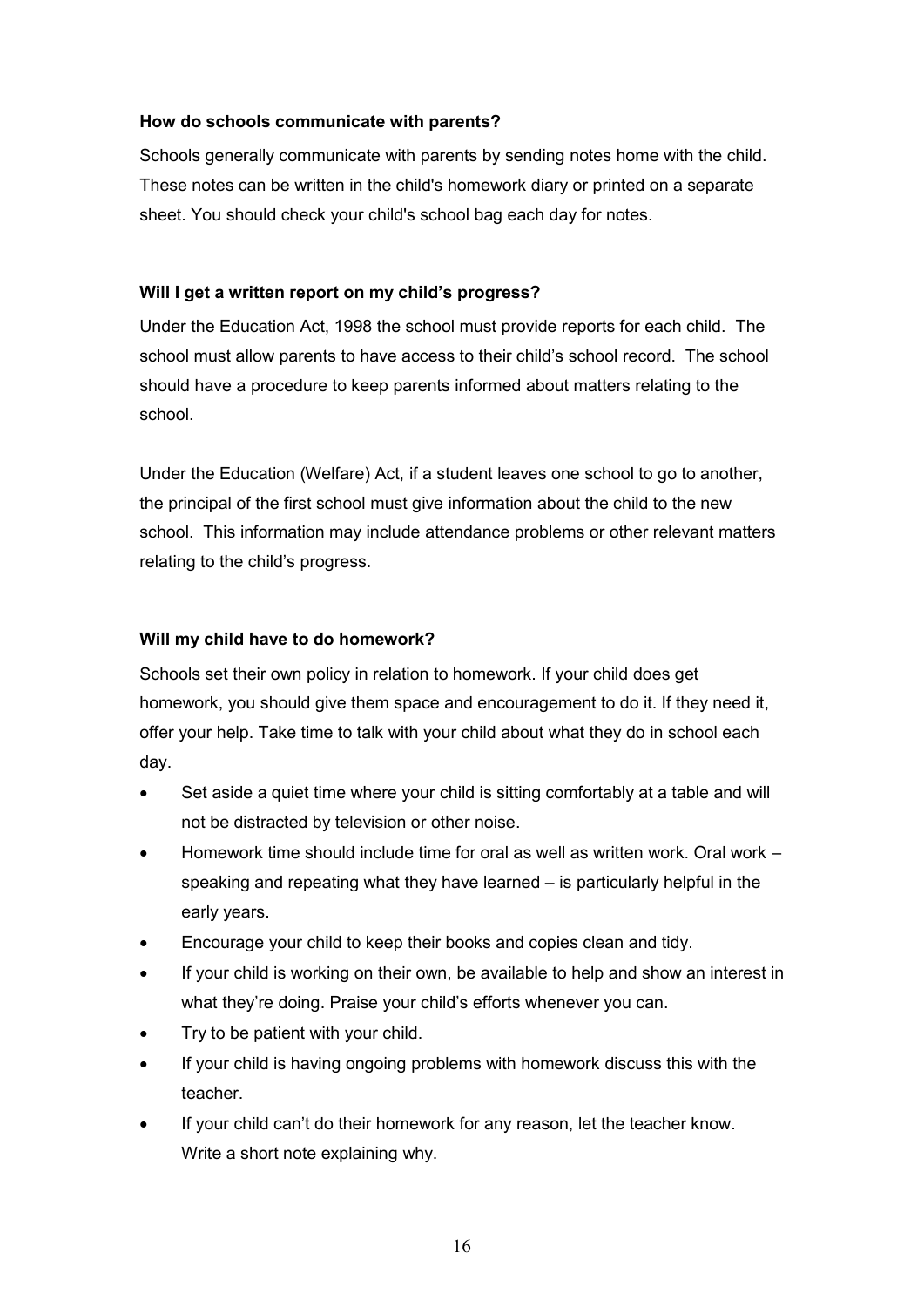#### **How do schools communicate with parents?**

Schools generally communicate with parents by sending notes home with the child. These notes can be written in the child's homework diary or printed on a separate sheet. You should check your child's school bag each day for notes.

### **Will I get a written report on my child's progress?**

Under the Education Act, 1998 the school must provide reports for each child. The school must allow parents to have access to their child's school record. The school should have a procedure to keep parents informed about matters relating to the school.

Under the Education (Welfare) Act, if a student leaves one school to go to another, the principal of the first school must give information about the child to the new school. This information may include attendance problems or other relevant matters relating to the child's progress.

#### **Will my child have to do homework?**

Schools set their own policy in relation to homework. If your child does get homework, you should give them space and encouragement to do it. If they need it, offer your help. Take time to talk with your child about what they do in school each day.

- Set aside a quiet time where your child is sitting comfortably at a table and will not be distracted by television or other noise.
- Homework time should include time for oral as well as written work. Oral work speaking and repeating what they have learned – is particularly helpful in the early years.
- Encourage your child to keep their books and copies clean and tidy.
- If your child is working on their own, be available to help and show an interest in what they're doing. Praise your child's efforts whenever you can.
- Try to be patient with your child.
- If your child is having ongoing problems with homework discuss this with the teacher.
- If your child can't do their homework for any reason, let the teacher know. Write a short note explaining why.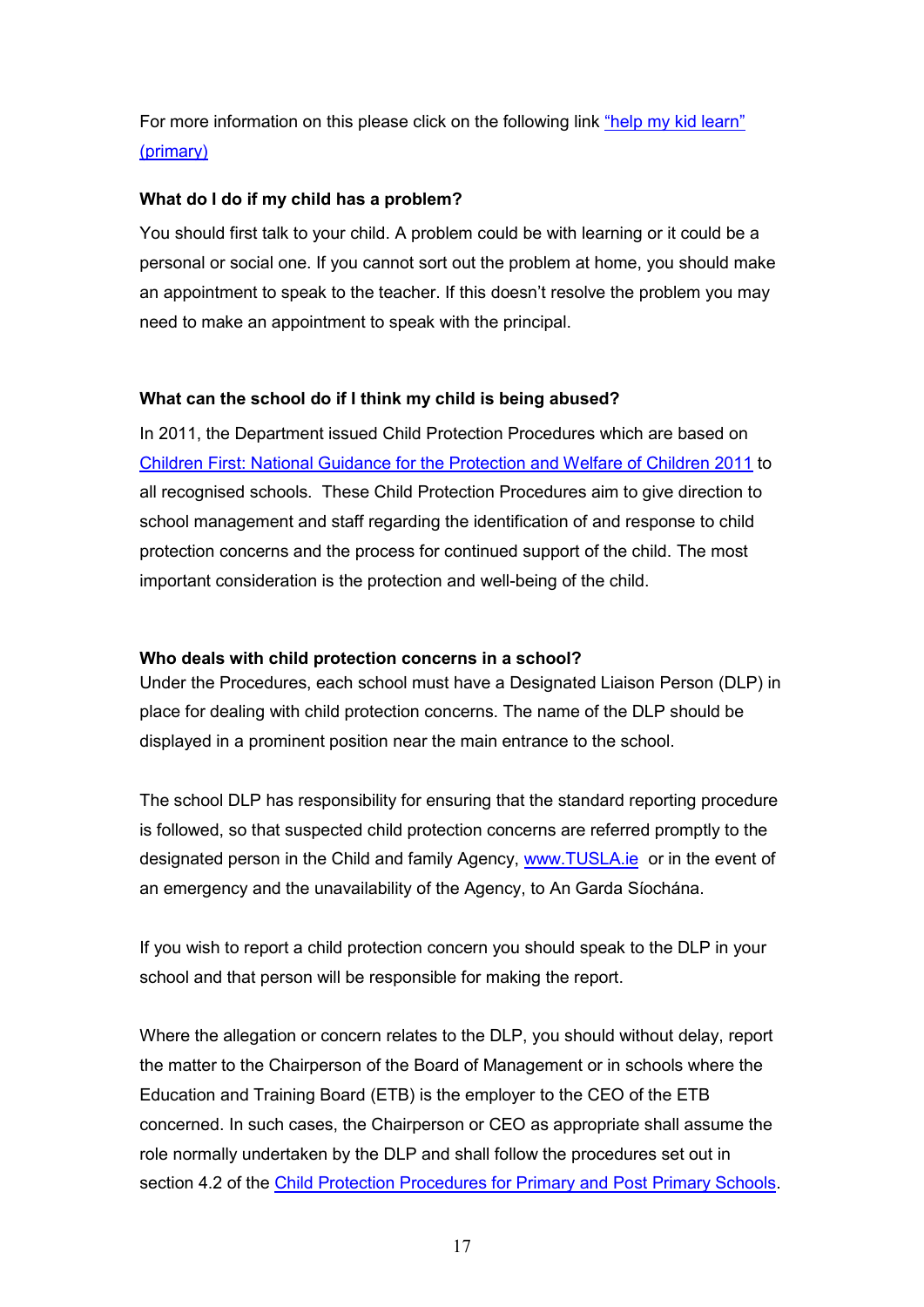For more information on this please click on the following link "help my kid learn" (primary)

#### **What do I do if my child has a problem?**

You should first talk to your child. A problem could be with learning or it could be a personal or social one. If you cannot sort out the problem at home, you should make an appointment to speak to the teacher. If this doesn't resolve the problem you may need to make an appointment to speak with the principal.

### **What can the school do if I think my child is being abused?**

In 2011, the Department issued Child Protection Procedures which are based on Children First: National Guidance for the Protection and Welfare of Children 2011 to all recognised schools. These Child Protection Procedures aim to give direction to school management and staff regarding the identification of and response to child protection concerns and the process for continued support of the child. The most important consideration is the protection and well-being of the child.

#### **Who deals with child protection concerns in a school?**

Under the Procedures, each school must have a Designated Liaison Person (DLP) in place for dealing with child protection concerns. The name of the DLP should be displayed in a prominent position near the main entrance to the school.

The school DLP has responsibility for ensuring that the standard reporting procedure is followed, so that suspected child protection concerns are referred promptly to the designated person in the Child and family Agency, www.TUSLA.ie or in the event of an emergency and the unavailability of the Agency, to An Garda Síochána.

If you wish to report a child protection concern you should speak to the DLP in your school and that person will be responsible for making the report.

Where the allegation or concern relates to the DLP, you should without delay, report the matter to the Chairperson of the Board of Management or in schools where the Education and Training Board (ETB) is the employer to the CEO of the ETB concerned. In such cases, the Chairperson or CEO as appropriate shall assume the role normally undertaken by the DLP and shall follow the procedures set out in section 4.2 of the Child Protection Procedures for Primary and Post Primary Schools.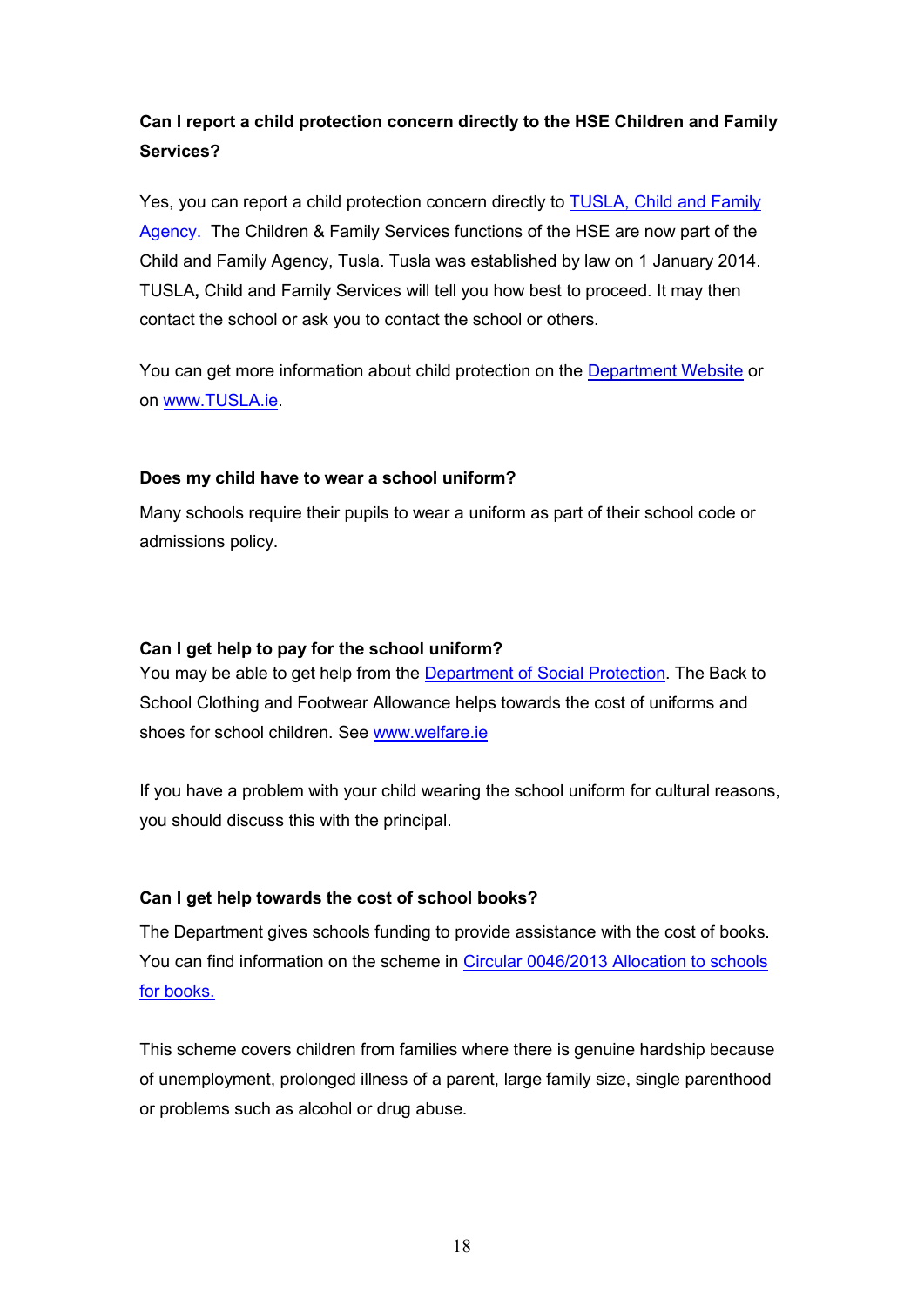# **Can I report a child protection concern directly to the HSE Children and Family Services?**

Yes, you can report a child protection concern directly to **TUSLA**, Child and Family Agency. The Children & Family Services functions of the HSE are now part of the Child and Family Agency, Tusla. Tusla was established by law on 1 January 2014. TUSLA**,** Child and Family Services will tell you how best to proceed. It may then contact the school or ask you to contact the school or others.

You can get more information about child protection on the Department Website or on www.TUSLA.ie.

#### **Does my child have to wear a school uniform?**

Many schools require their pupils to wear a uniform as part of their school code or admissions policy.

#### **Can I get help to pay for the school uniform?**

You may be able to get help from the Department of Social Protection. The Back to School Clothing and Footwear Allowance helps towards the cost of uniforms and shoes for school children. See www.welfare.ie

If you have a problem with your child wearing the school uniform for cultural reasons, you should discuss this with the principal.

### **Can I get help towards the cost of school books?**

The Department gives schools funding to provide assistance with the cost of books. You can find information on the scheme in Circular 0046/2013 Allocation to schools for books.

This scheme covers children from families where there is genuine hardship because of unemployment, prolonged illness of a parent, large family size, single parenthood or problems such as alcohol or drug abuse.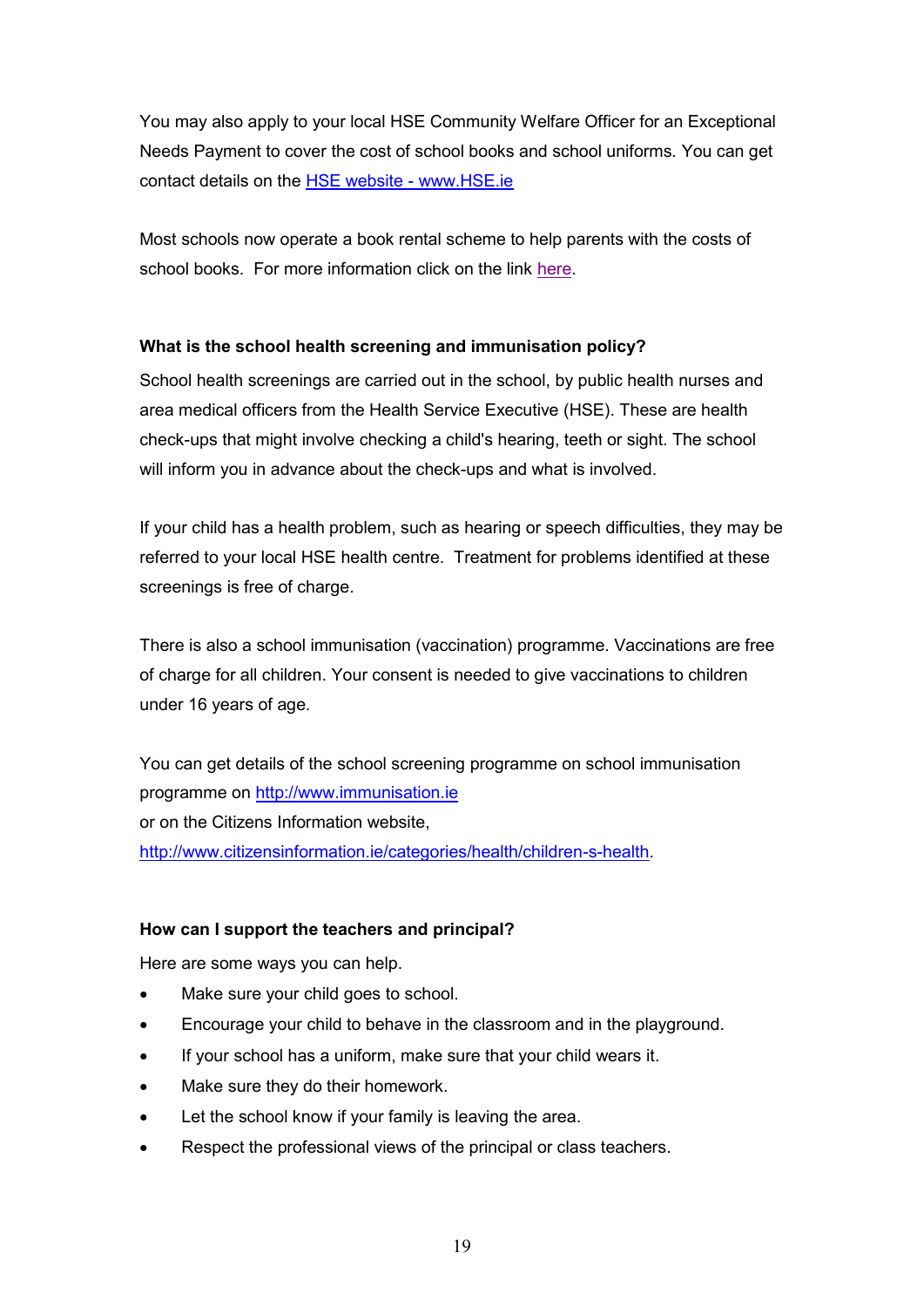You may also apply to your local HSE Community Welfare Officer for an Exceptional Needs Payment to cover the cost of school books and school uniforms. You can get contact details on the HSE website - www.HSE.ie

Most schools now operate a book rental scheme to help parents with the costs of school books. For more information click on the link here.

### **What is the school health screening and immunisation policy?**

School health screenings are carried out in the school, by public health nurses and area medical officers from the Health Service Executive (HSE). These are health check-ups that might involve checking a child's hearing, teeth or sight. The school will inform you in advance about the check-ups and what is involved.

If your child has a health problem, such as hearing or speech difficulties, they may be referred to your local HSE health centre. Treatment for problems identified at these screenings is free of charge.

There is also a school immunisation (vaccination) programme. Vaccinations are free of charge for all children. Your consent is needed to give vaccinations to children under 16 years of age.

You can get details of the school screening programme on school immunisation programme on http://www.immunisation.ie or on the Citizens Information website, http://www.citizensinformation.ie/categories/health/children-s-health.

### **How can I support the teachers and principal?**

Here are some ways you can help.

- Make sure your child goes to school.
- Encourage your child to behave in the classroom and in the playground.
- If your school has a uniform, make sure that your child wears it.
- Make sure they do their homework.
- Let the school know if your family is leaving the area.
- Respect the professional views of the principal or class teachers.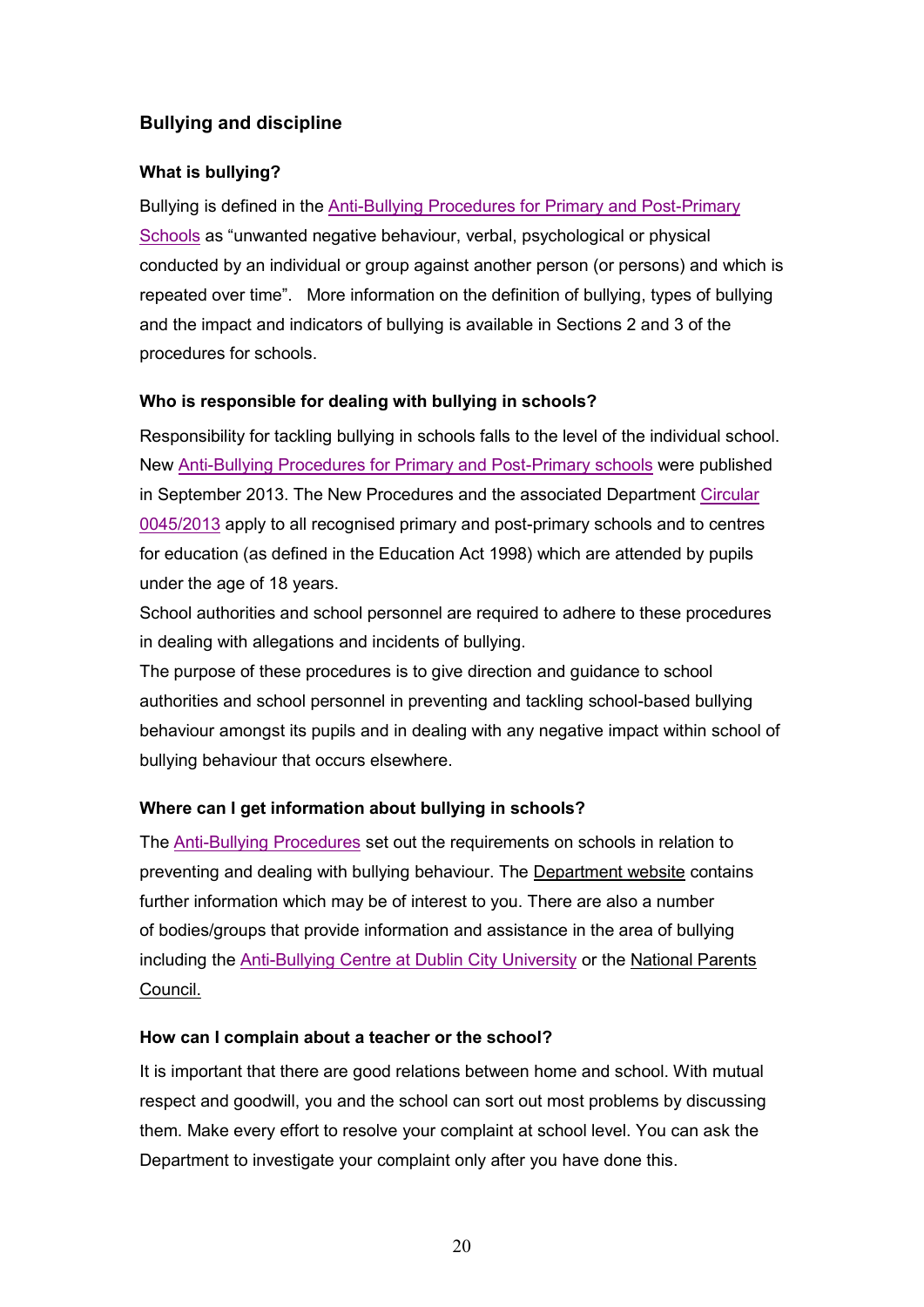# **Bullying and discipline**

## **What is bullying?**

Bullying is defined in the Anti-Bullying Procedures for Primary and Post-Primary Schools as "unwanted negative behaviour, verbal, psychological or physical conducted by an individual or group against another person (or persons) and which is repeated over time". More information on the definition of bullying, types of bullying and the impact and indicators of bullying is available in Sections 2 and 3 of the procedures for schools.

### **Who is responsible for dealing with bullying in schools?**

Responsibility for tackling bullying in schools falls to the level of the individual school. New Anti-Bullying Procedures for Primary and Post-Primary schools were published in September 2013. The New Procedures and the associated Department Circular 0045/2013 apply to all recognised primary and post-primary schools and to centres for education (as defined in the Education Act 1998) which are attended by pupils under the age of 18 years.

School authorities and school personnel are required to adhere to these procedures in dealing with allegations and incidents of bullying.

The purpose of these procedures is to give direction and guidance to school authorities and school personnel in preventing and tackling school-based bullying behaviour amongst its pupils and in dealing with any negative impact within school of bullying behaviour that occurs elsewhere.

# **Where can I get information about bullying in schools?**

The Anti-Bullying Procedures set out the requirements on schools in relation to preventing and dealing with bullying behaviour. The Department website contains further information which may be of interest to you. There are also a number of bodies/groups that provide information and assistance in the area of bullying including the Anti-Bullying Centre at Dublin City University or the National Parents Council.

### **How can I complain about a teacher or the school?**

It is important that there are good relations between home and school. With mutual respect and goodwill, you and the school can sort out most problems by discussing them. Make every effort to resolve your complaint at school level. You can ask the Department to investigate your complaint only after you have done this.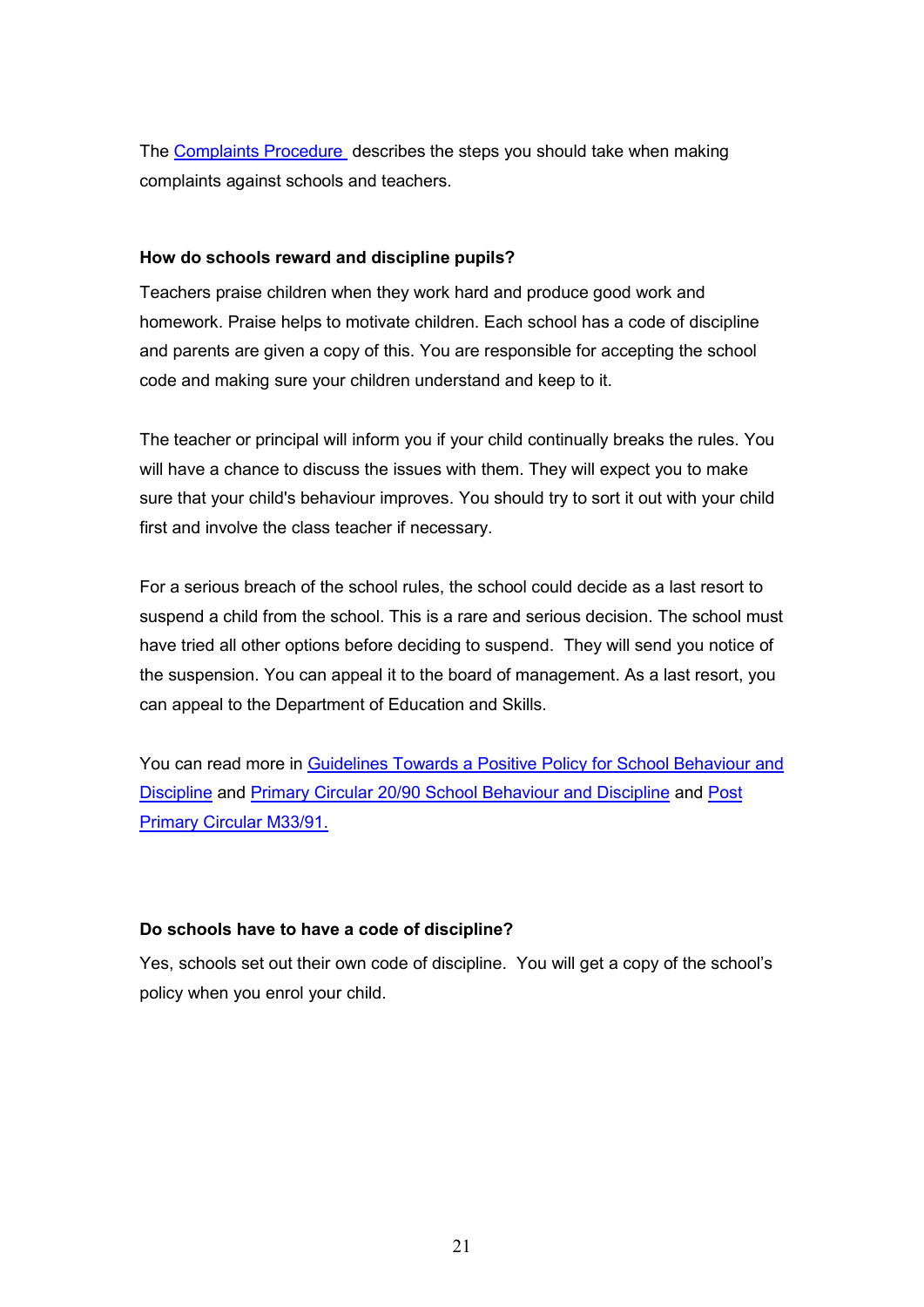The Complaints Procedure describes the steps you should take when making complaints against schools and teachers.

#### **How do schools reward and discipline pupils?**

Teachers praise children when they work hard and produce good work and homework. Praise helps to motivate children. Each school has a code of discipline and parents are given a copy of this. You are responsible for accepting the school code and making sure your children understand and keep to it.

The teacher or principal will inform you if your child continually breaks the rules. You will have a chance to discuss the issues with them. They will expect you to make sure that your child's behaviour improves. You should try to sort it out with your child first and involve the class teacher if necessary.

For a serious breach of the school rules, the school could decide as a last resort to suspend a child from the school. This is a rare and serious decision. The school must have tried all other options before deciding to suspend. They will send you notice of the suspension. You can appeal it to the board of management. As a last resort, you can appeal to the Department of Education and Skills.

You can read more in Guidelines Towards a Positive Policy for School Behaviour and Discipline and Primary Circular 20/90 School Behaviour and Discipline and Post Primary Circular M33/91.

### **Do schools have to have a code of discipline?**

Yes, schools set out their own code of discipline. You will get a copy of the school's policy when you enrol your child.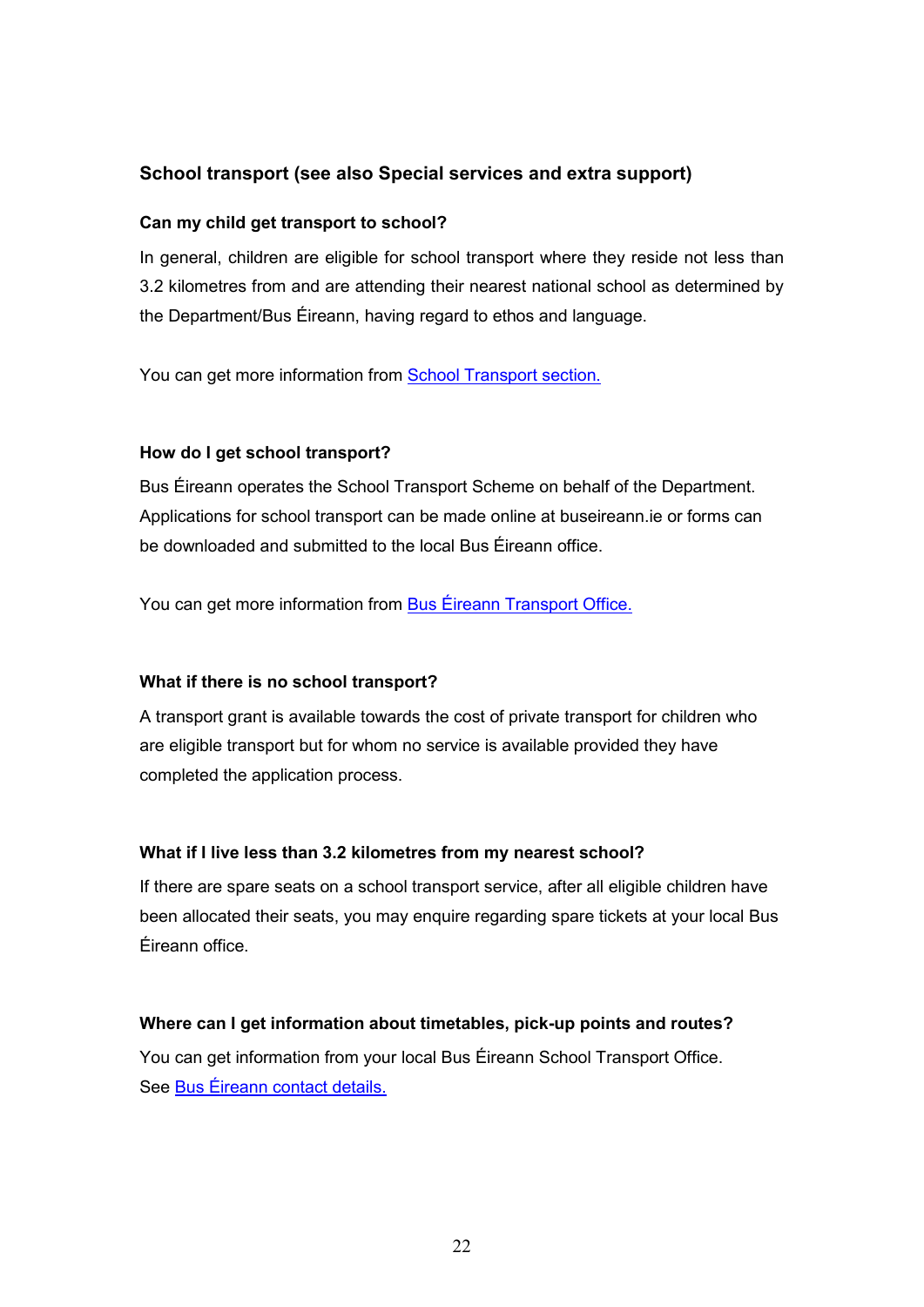# **School transport (see also Special services and extra support)**

#### **Can my child get transport to school?**

In general, children are eligible for school transport where they reside not less than 3.2 kilometres from and are attending their nearest national school as determined by the Department/Bus Éireann, having regard to ethos and language.

You can get more information from **School Transport section.** 

#### **How do I get school transport?**

Bus Éireann operates the School Transport Scheme on behalf of the Department. Applications for school transport can be made online at buseireann.ie or forms can be downloaded and submitted to the local Bus Éireann office.

You can get more information from Bus Éireann Transport Office.

#### **What if there is no school transport?**

A transport grant is available towards the cost of private transport for children who are eligible transport but for whom no service is available provided they have completed the application process.

#### **What if I live less than 3.2 kilometres from my nearest school?**

If there are spare seats on a school transport service, after all eligible children have been allocated their seats, you may enquire regarding spare tickets at your local Bus Éireann office.

#### **Where can I get information about timetables, pick-up points and routes?**

You can get information from your local Bus Éireann School Transport Office. See Bus Éireann contact details.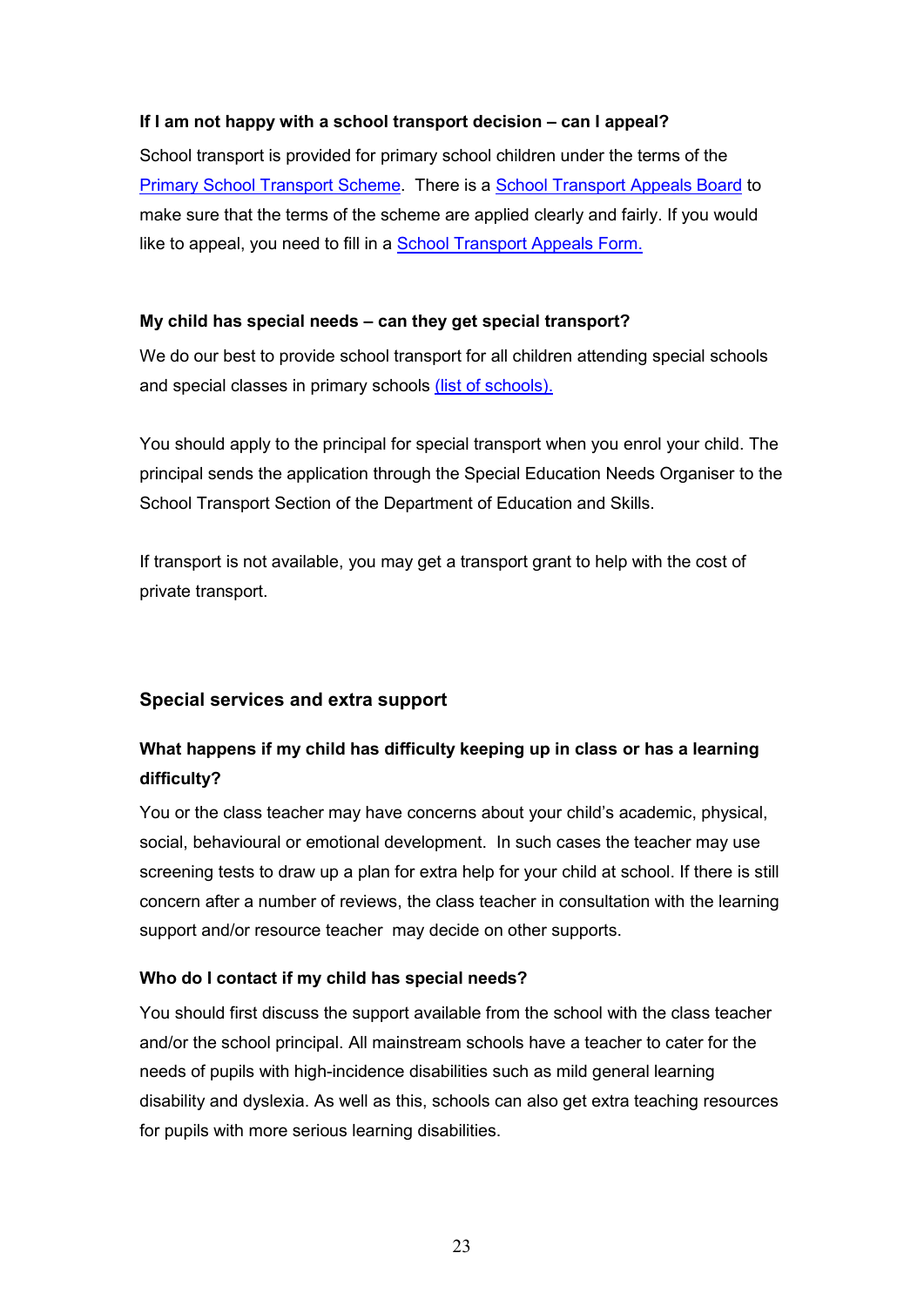#### **If I am not happy with a school transport decision – can I appeal?**

School transport is provided for primary school children under the terms of the Primary School Transport Scheme. There is a School Transport Appeals Board to make sure that the terms of the scheme are applied clearly and fairly. If you would like to appeal, you need to fill in a **School Transport Appeals Form.** 

#### **My child has special needs – can they get special transport?**

We do our best to provide school transport for all children attending special schools and special classes in primary schools (list of schools).

You should apply to the principal for special transport when you enrol your child. The principal sends the application through the Special Education Needs Organiser to the School Transport Section of the Department of Education and Skills.

If transport is not available, you may get a transport grant to help with the cost of private transport.

### **Special services and extra support**

# **What happens if my child has difficulty keeping up in class or has a learning difficulty?**

You or the class teacher may have concerns about your child's academic, physical, social, behavioural or emotional development. In such cases the teacher may use screening tests to draw up a plan for extra help for your child at school. If there is still concern after a number of reviews, the class teacher in consultation with the learning support and/or resource teacher may decide on other supports.

### **Who do I contact if my child has special needs?**

You should first discuss the support available from the school with the class teacher and/or the school principal. All mainstream schools have a teacher to cater for the needs of pupils with high-incidence disabilities such as mild general learning disability and dyslexia. As well as this, schools can also get extra teaching resources for pupils with more serious learning disabilities.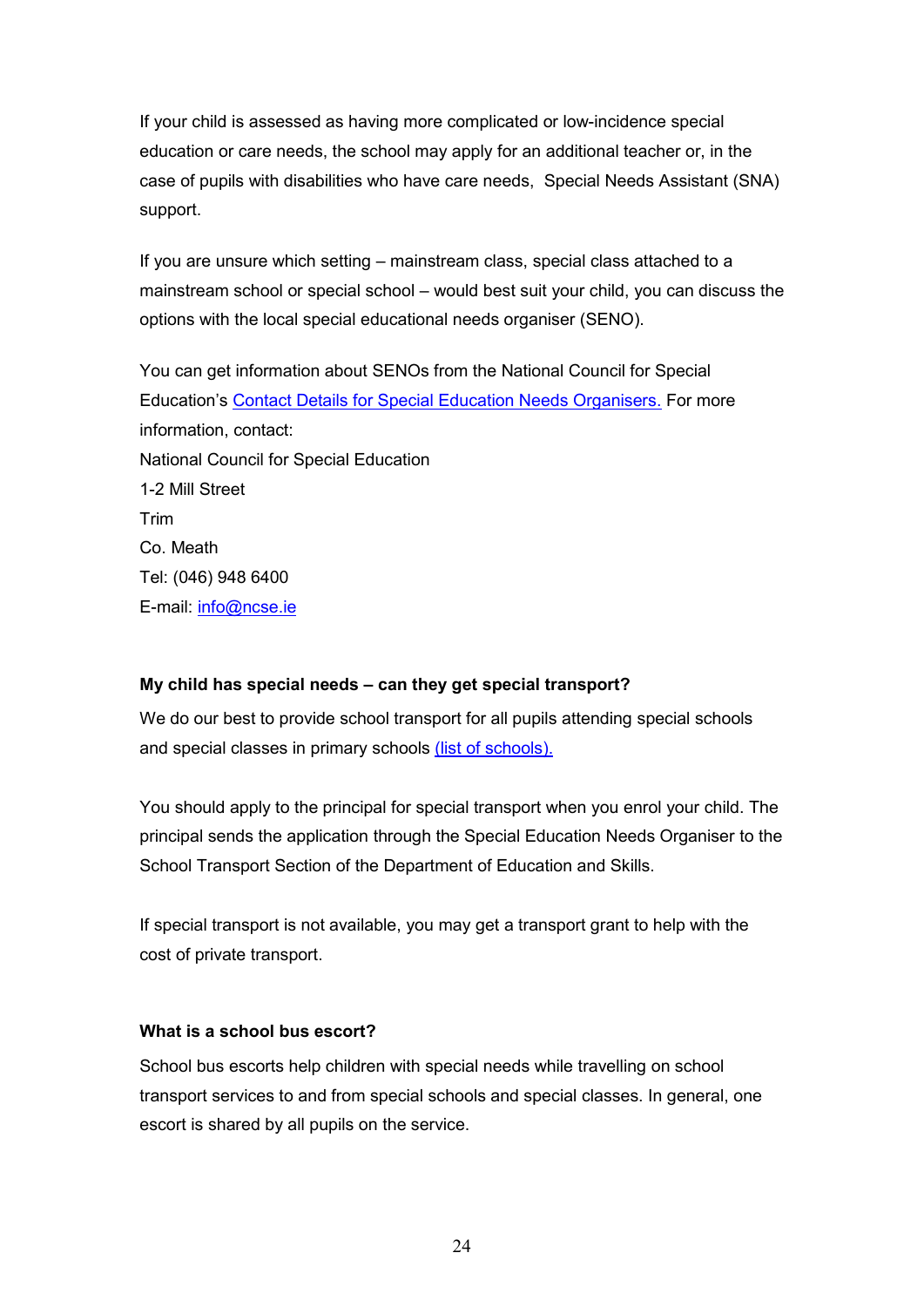If your child is assessed as having more complicated or low-incidence special education or care needs, the school may apply for an additional teacher or, in the case of pupils with disabilities who have care needs, Special Needs Assistant (SNA) support.

If you are unsure which setting – mainstream class, special class attached to a mainstream school or special school – would best suit your child, you can discuss the options with the local special educational needs organiser (SENO).

You can get information about SENOs from the National Council for Special Education's Contact Details for Special Education Needs Organisers. For more information, contact: National Council for Special Education 1-2 Mill Street Trim Co. Meath Tel: (046) 948 6400 E-mail: info@ncse.ie

#### **My child has special needs – can they get special transport?**

We do our best to provide school transport for all pupils attending special schools and special classes in primary schools (list of schools).

You should apply to the principal for special transport when you enrol your child. The principal sends the application through the Special Education Needs Organiser to the School Transport Section of the Department of Education and Skills.

If special transport is not available, you may get a transport grant to help with the cost of private transport.

#### **What is a school bus escort?**

School bus escorts help children with special needs while travelling on school transport services to and from special schools and special classes. In general, one escort is shared by all pupils on the service.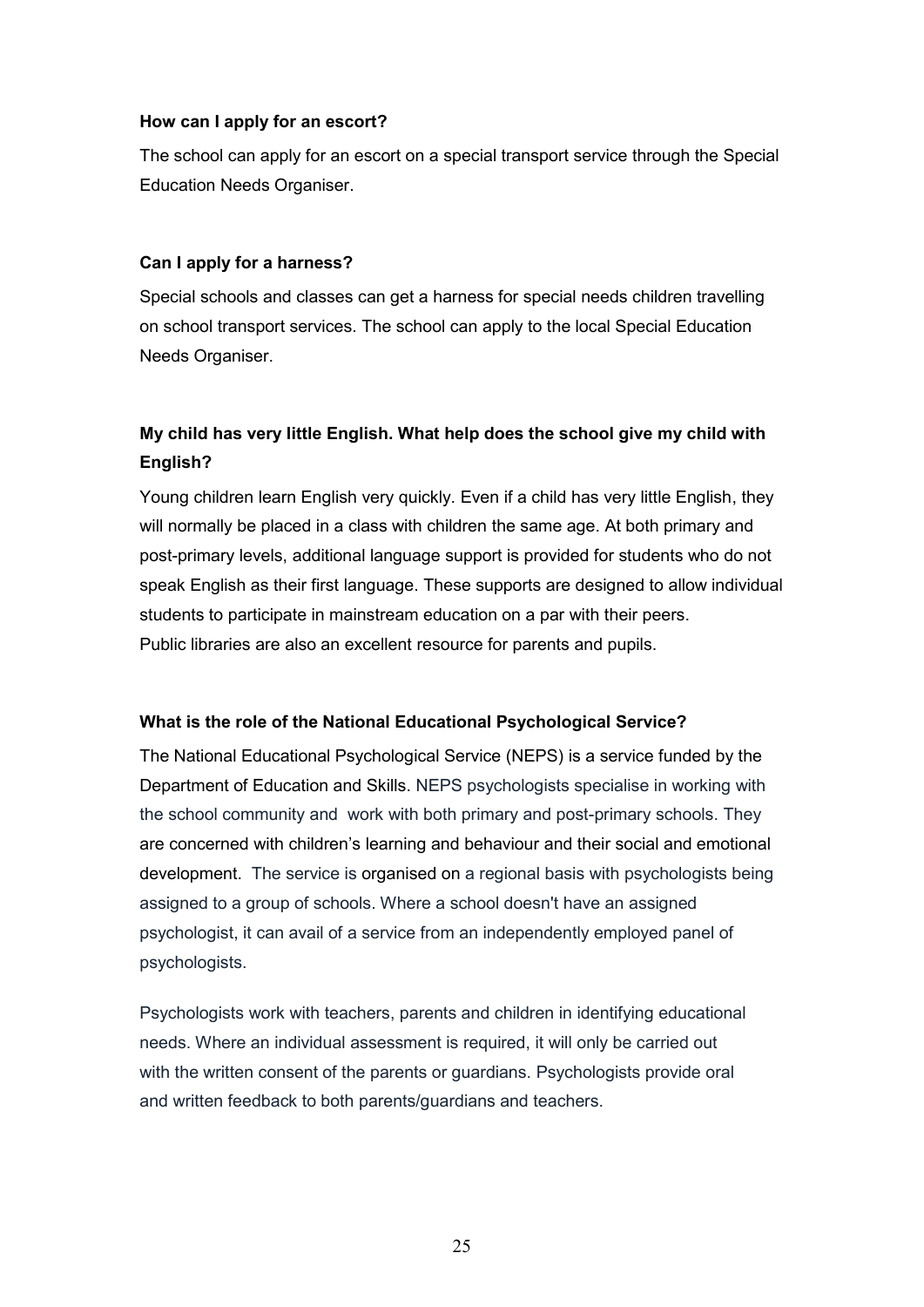#### **How can I apply for an escort?**

The school can apply for an escort on a special transport service through the Special Education Needs Organiser.

#### **Can I apply for a harness?**

Special schools and classes can get a harness for special needs children travelling on school transport services. The school can apply to the local Special Education Needs Organiser.

# **My child has very little English. What help does the school give my child with English?**

Young children learn English very quickly. Even if a child has very little English, they will normally be placed in a class with children the same age. At both primary and post-primary levels, additional language support is provided for students who do not speak English as their first language. These supports are designed to allow individual students to participate in mainstream education on a par with their peers. Public libraries are also an excellent resource for parents and pupils.

#### **What is the role of the National Educational Psychological Service?**

The National Educational Psychological Service (NEPS) is a service funded by the Department of Education and Skills. NEPS psychologists specialise in working with the school community and work with both primary and post-primary schools. They are concerned with children's learning and behaviour and their social and emotional development. The service is organised on a regional basis with psychologists being assigned to a group of schools. Where a school doesn't have an assigned psychologist, it can avail of a service from an independently employed panel of psychologists.

Psychologists work with teachers, parents and children in identifying educational needs. Where an individual assessment is required, it will only be carried out with the written consent of the parents or guardians. Psychologists provide oral and written feedback to both parents/guardians and teachers.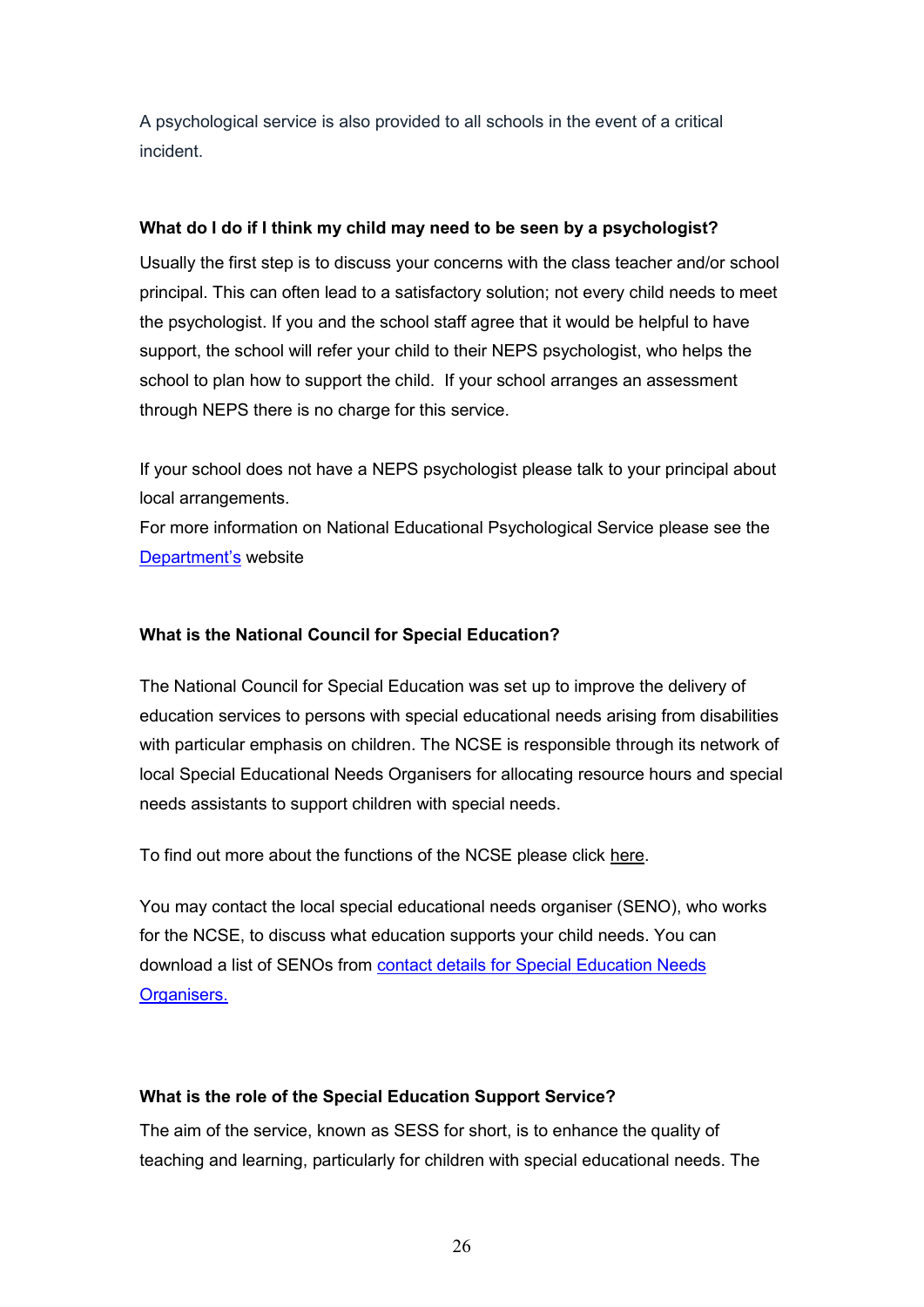A psychological service is also provided to all schools in the event of a critical incident.

### **What do I do if I think my child may need to be seen by a psychologist?**

Usually the first step is to discuss your concerns with the class teacher and/or school principal. This can often lead to a satisfactory solution; not every child needs to meet the psychologist. If you and the school staff agree that it would be helpful to have support, the school will refer your child to their NEPS psychologist, who helps the school to plan how to support the child. If your school arranges an assessment through NEPS there is no charge for this service.

If your school does not have a NEPS psychologist please talk to your principal about local arrangements.

For more information on National Educational Psychological Service please see the Department's website

#### **What is the National Council for Special Education?**

The National Council for Special Education was set up to improve the delivery of education services to persons with special educational needs arising from disabilities with particular emphasis on children. The NCSE is responsible through its network of local Special Educational Needs Organisers for allocating resource hours and special needs assistants to support children with special needs.

To find out more about the functions of the NCSE please click here.

You may contact the local special educational needs organiser (SENO), who works for the NCSE, to discuss what education supports your child needs. You can download a list of SENOs from contact details for Special Education Needs Organisers.

### **What is the role of the Special Education Support Service?**

The aim of the service, known as SESS for short, is to enhance the quality of teaching and learning, particularly for children with special educational needs. The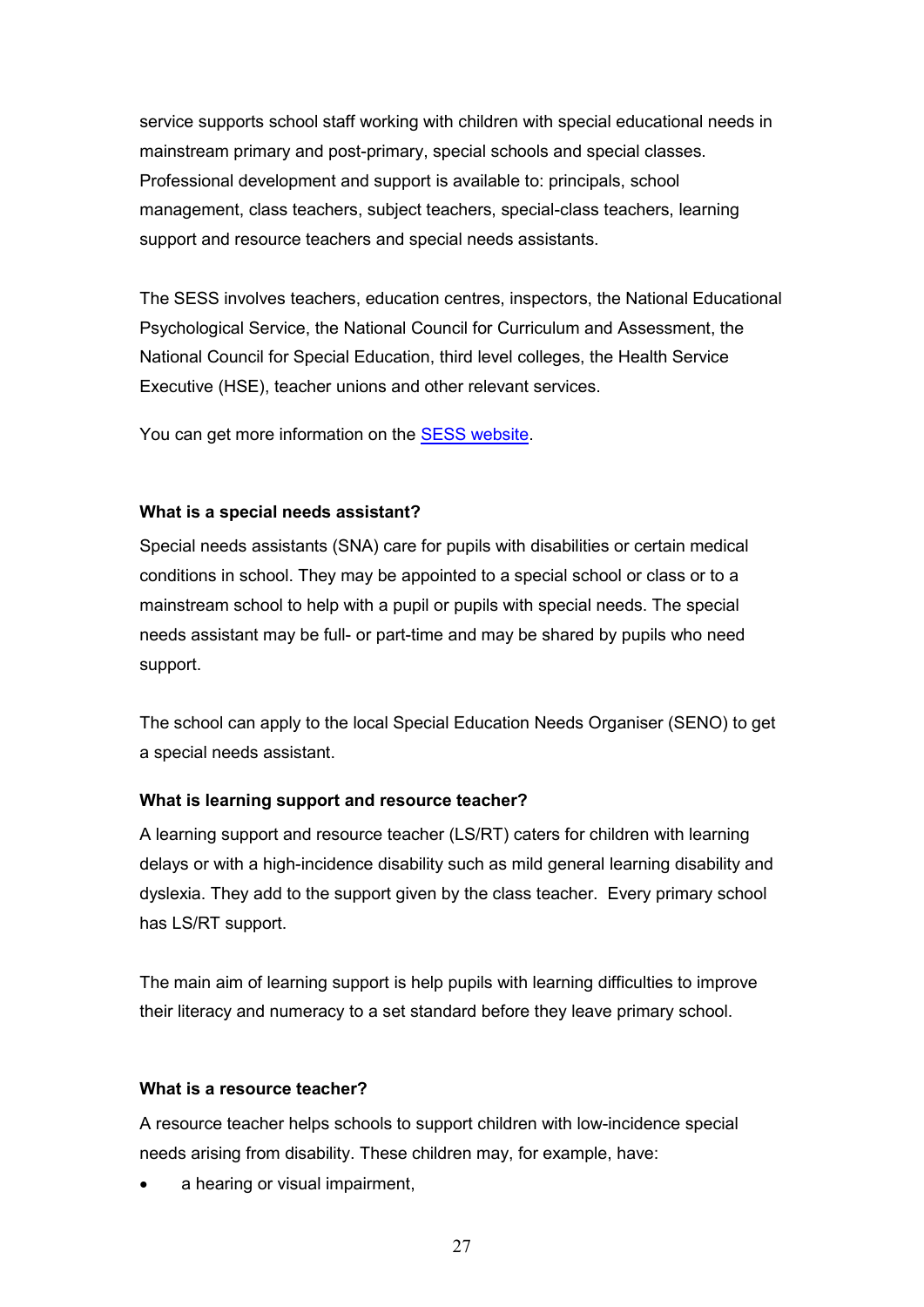service supports school staff working with children with special educational needs in mainstream primary and post-primary, special schools and special classes. Professional development and support is available to: principals, school management, class teachers, subject teachers, special-class teachers, learning support and resource teachers and special needs assistants.

The SESS involves teachers, education centres, inspectors, the National Educational Psychological Service, the National Council for Curriculum and Assessment, the National Council for Special Education, third level colleges, the Health Service Executive (HSE), teacher unions and other relevant services.

You can get more information on the SESS website.

#### **What is a special needs assistant?**

Special needs assistants (SNA) care for pupils with disabilities or certain medical conditions in school. They may be appointed to a special school or class or to a mainstream school to help with a pupil or pupils with special needs. The special needs assistant may be full- or part-time and may be shared by pupils who need support.

The school can apply to the local Special Education Needs Organiser (SENO) to get a special needs assistant.

### **What is learning support and resource teacher?**

A learning support and resource teacher (LS/RT) caters for children with learning delays or with a high-incidence disability such as mild general learning disability and dyslexia. They add to the support given by the class teacher. Every primary school has LS/RT support.

The main aim of learning support is help pupils with learning difficulties to improve their literacy and numeracy to a set standard before they leave primary school.

#### **What is a resource teacher?**

A resource teacher helps schools to support children with low-incidence special needs arising from disability. These children may, for example, have:

a hearing or visual impairment,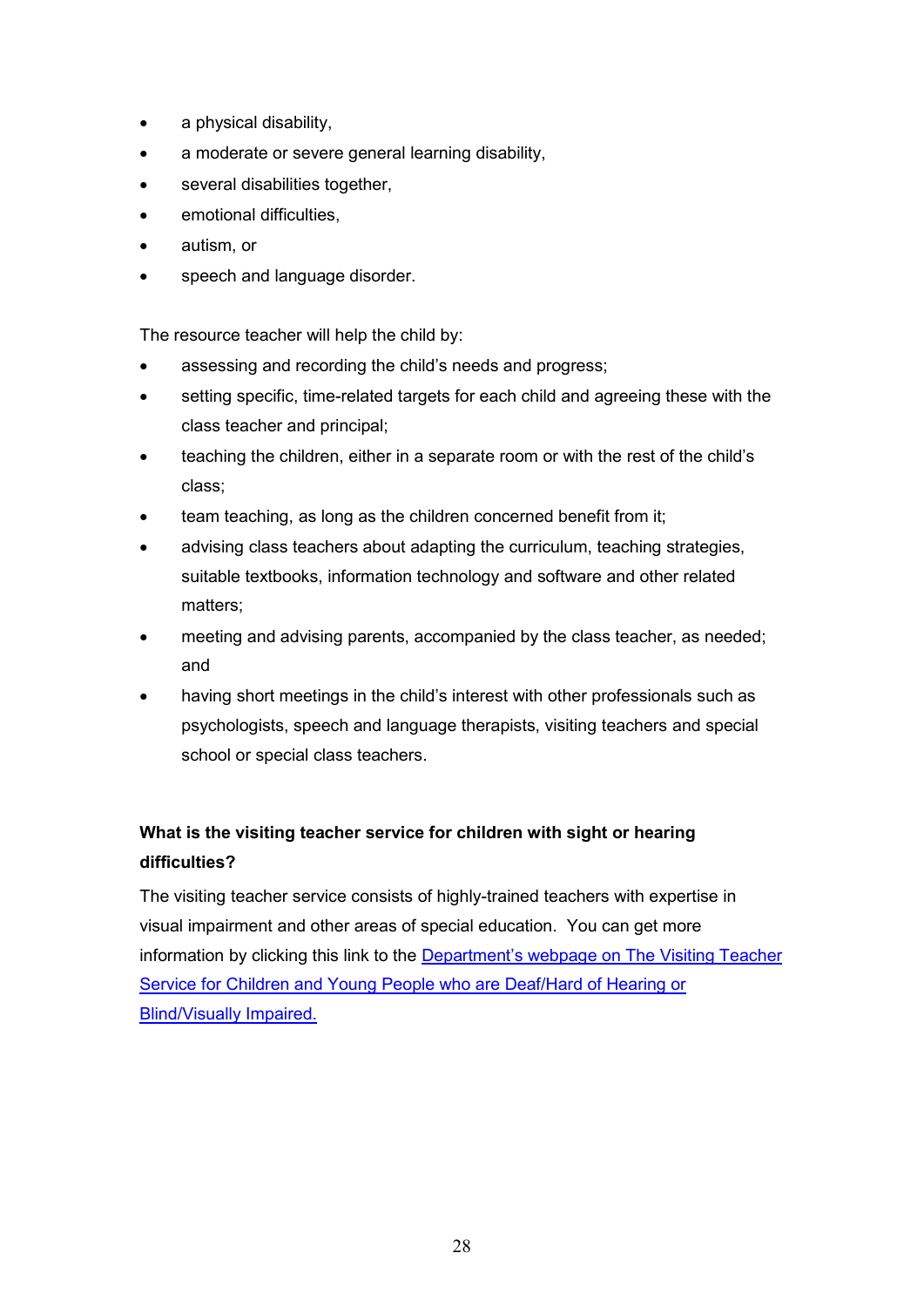- a physical disability,
- a moderate or severe general learning disability,
- several disabilities together,
- emotional difficulties,
- autism, or
- speech and language disorder.

The resource teacher will help the child by:

- assessing and recording the child's needs and progress;
- setting specific, time-related targets for each child and agreeing these with the class teacher and principal;
- teaching the children, either in a separate room or with the rest of the child's class;
- team teaching, as long as the children concerned benefit from it;
- advising class teachers about adapting the curriculum, teaching strategies, suitable textbooks, information technology and software and other related matters;
- meeting and advising parents, accompanied by the class teacher, as needed; and
- having short meetings in the child's interest with other professionals such as psychologists, speech and language therapists, visiting teachers and special school or special class teachers.

# **What is the visiting teacher service for children with sight or hearing difficulties?**

The visiting teacher service consists of highly-trained teachers with expertise in visual impairment and other areas of special education. You can get more information by clicking this link to the Department's webpage on The Visiting Teacher Service for Children and Young People who are Deaf/Hard of Hearing or Blind/Visually Impaired.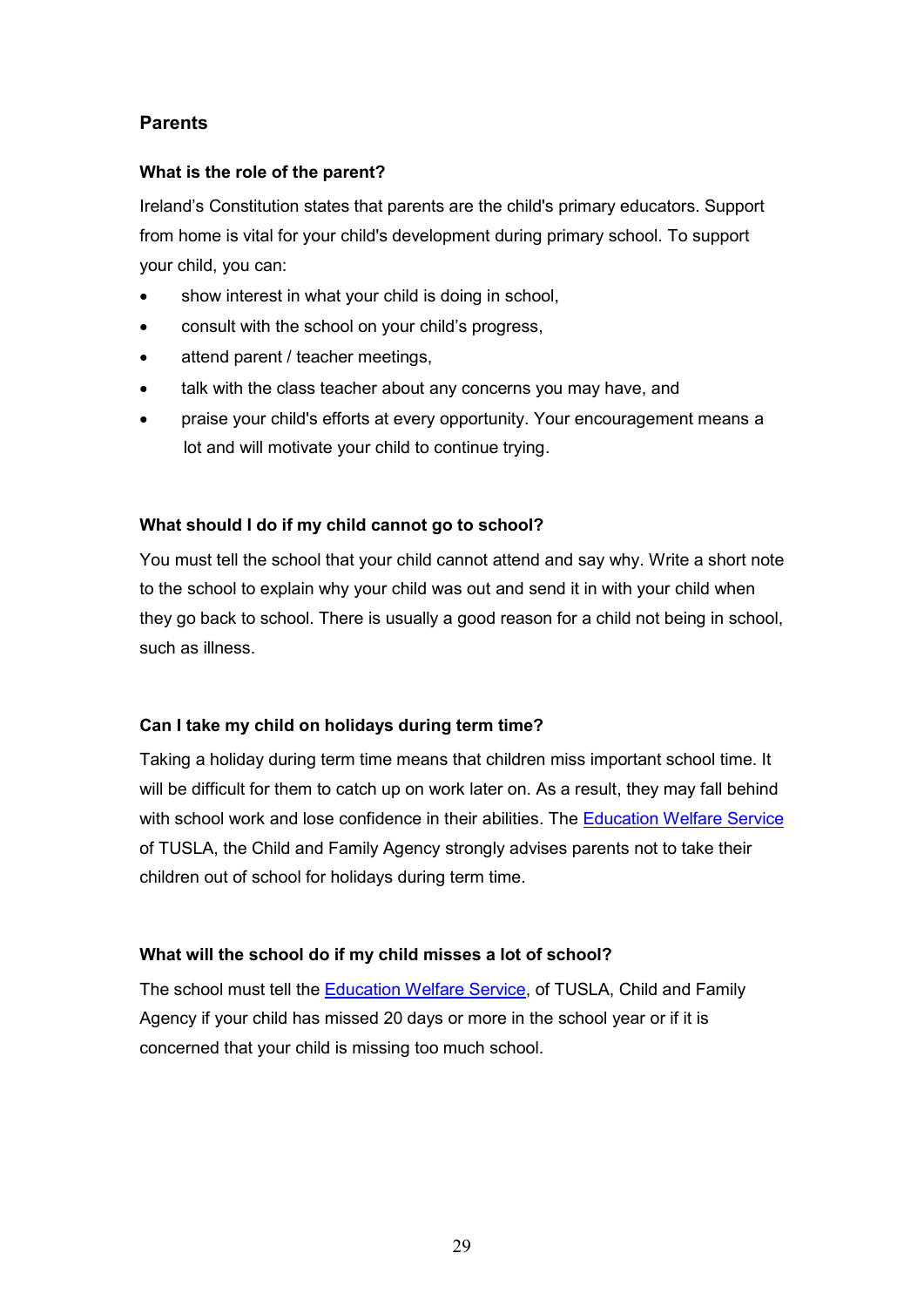# **Parents**

#### **What is the role of the parent?**

Ireland's Constitution states that parents are the child's primary educators. Support from home is vital for your child's development during primary school. To support your child, you can:

- show interest in what your child is doing in school,
- consult with the school on your child's progress,
- attend parent / teacher meetings,
- talk with the class teacher about any concerns you may have, and
- praise your child's efforts at every opportunity. Your encouragement means a lot and will motivate your child to continue trying.

#### **What should I do if my child cannot go to school?**

You must tell the school that your child cannot attend and say why. Write a short note to the school to explain why your child was out and send it in with your child when they go back to school. There is usually a good reason for a child not being in school, such as illness.

#### **Can I take my child on holidays during term time?**

Taking a holiday during term time means that children miss important school time. It will be difficult for them to catch up on work later on. As a result, they may fall behind with school work and lose confidence in their abilities. The Education Welfare Service of TUSLA, the Child and Family Agency strongly advises parents not to take their children out of school for holidays during term time.

#### **What will the school do if my child misses a lot of school?**

The school must tell the Education Welfare Service, of TUSLA, Child and Family Agency if your child has missed 20 days or more in the school year or if it is concerned that your child is missing too much school.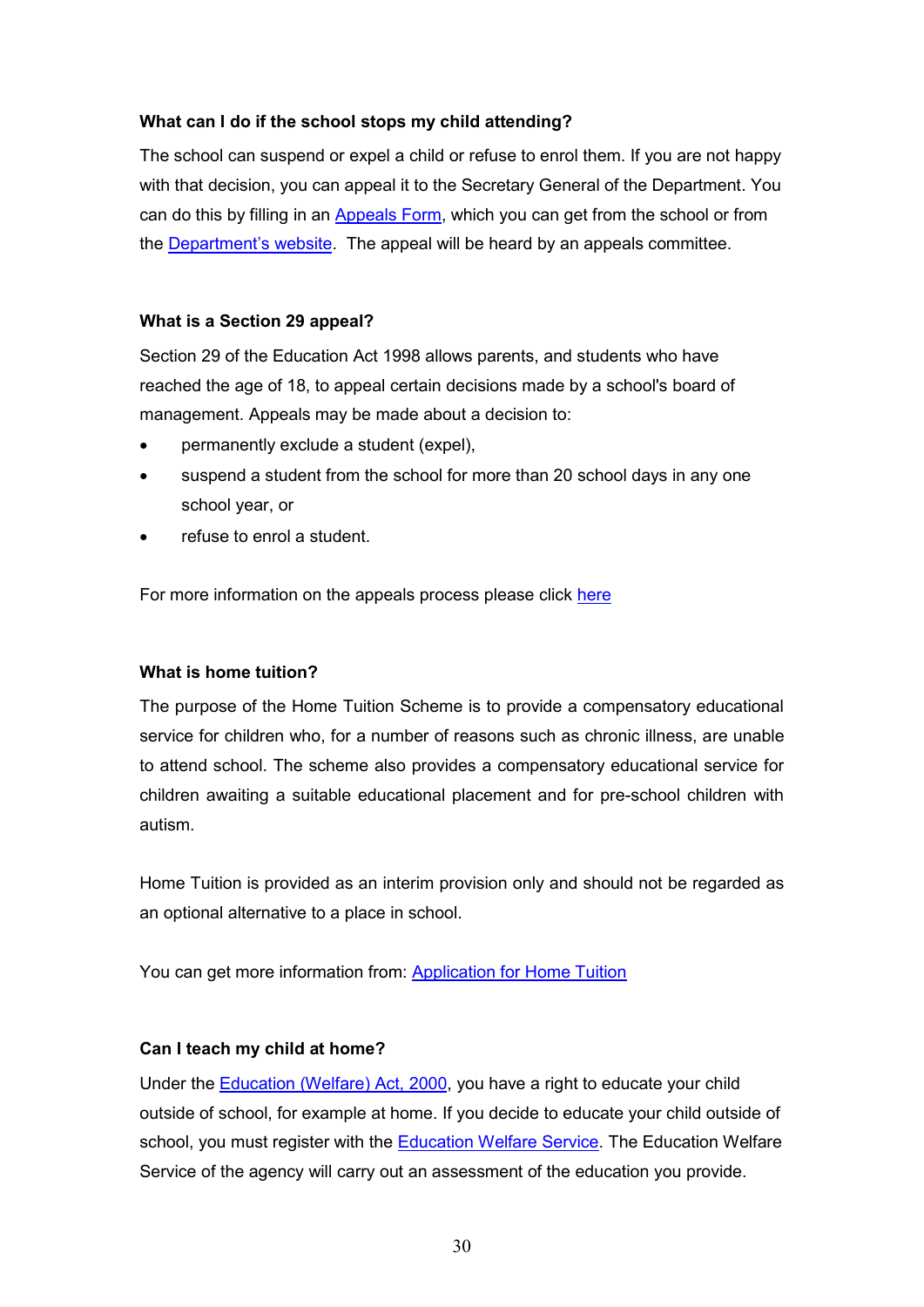#### **What can I do if the school stops my child attending?**

The school can suspend or expel a child or refuse to enrol them. If you are not happy with that decision, you can appeal it to the Secretary General of the Department. You can do this by filling in an Appeals Form, which you can get from the school or from the **Department's website**. The appeal will be heard by an appeals committee.

#### **What is a Section 29 appeal?**

Section 29 of the Education Act 1998 allows parents, and students who have reached the age of 18, to appeal certain decisions made by a school's board of management. Appeals may be made about a decision to:

- permanently exclude a student (expel),
- suspend a student from the school for more than 20 school days in any one school year, or
- refuse to enrol a student.

For more information on the appeals process please click here

### **What is home tuition?**

The purpose of the Home Tuition Scheme is to provide a compensatory educational service for children who, for a number of reasons such as chronic illness, are unable to attend school. The scheme also provides a compensatory educational service for children awaiting a suitable educational placement and for pre-school children with autism.

Home Tuition is provided as an interim provision only and should not be regarded as an optional alternative to a place in school.

You can get more information from: Application for Home Tuition

### **Can I teach my child at home?**

Under the Education (Welfare) Act, 2000, you have a right to educate your child outside of school, for example at home. If you decide to educate your child outside of school, you must register with the **Education Welfare Service**. The Education Welfare Service of the agency will carry out an assessment of the education you provide.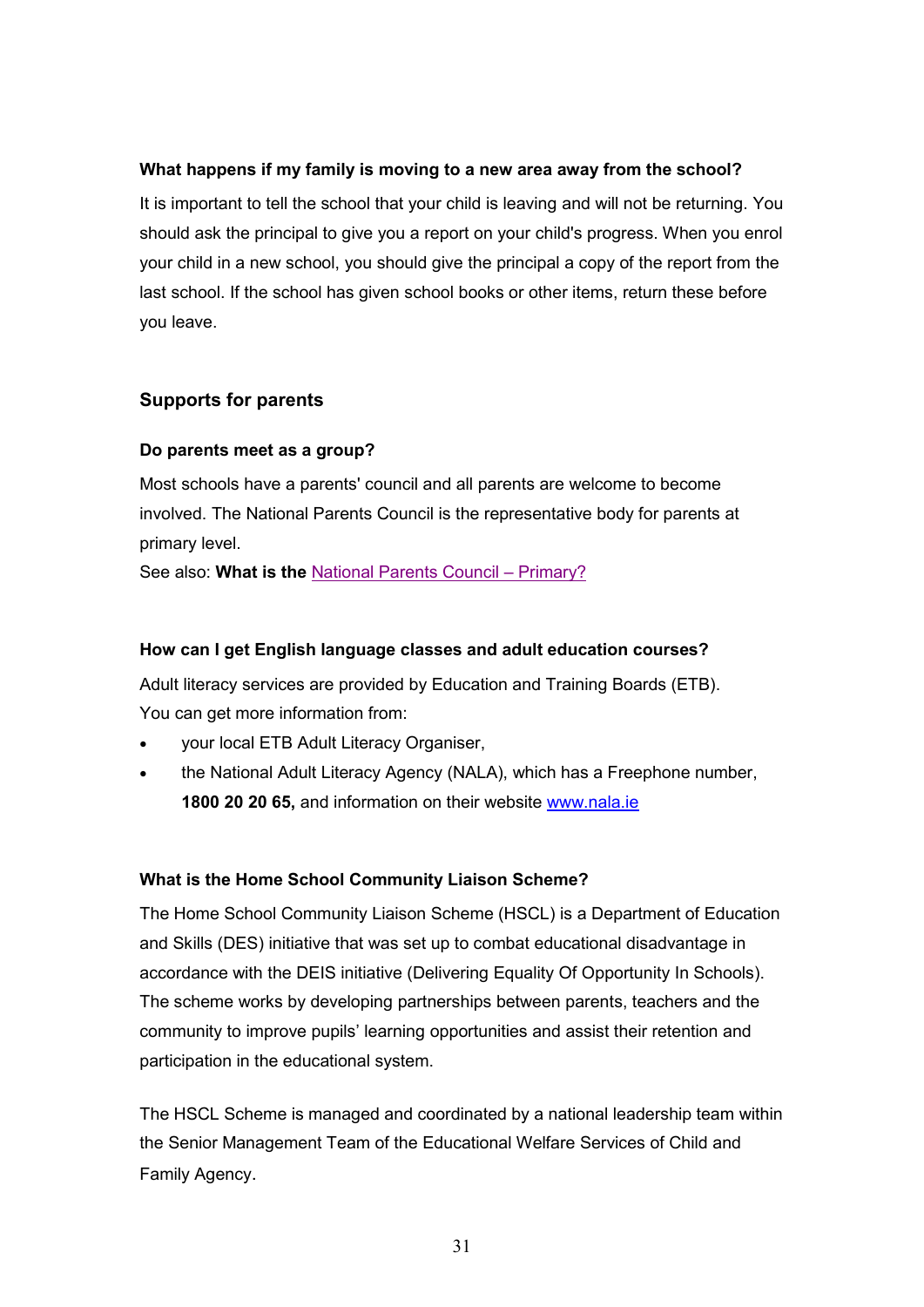#### **What happens if my family is moving to a new area away from the school?**

It is important to tell the school that your child is leaving and will not be returning. You should ask the principal to give you a report on your child's progress. When you enrol your child in a new school, you should give the principal a copy of the report from the last school. If the school has given school books or other items, return these before you leave.

# **Supports for parents**

#### **Do parents meet as a group?**

Most schools have a parents' council and all parents are welcome to become involved. The National Parents Council is the representative body for parents at primary level.

See also: **What is the** National Parents Council – Primary?

#### **How can I get English language classes and adult education courses?**

Adult literacy services are provided by Education and Training Boards (ETB). You can get more information from:

- your local ETB Adult Literacy Organiser,
- the National Adult Literacy Agency (NALA), which has a Freephone number, **1800 20 20 65,** and information on their website www.nala.ie

### **What is the Home School Community Liaison Scheme?**

The Home School Community Liaison Scheme (HSCL) is a Department of Education and Skills (DES) initiative that was set up to combat educational disadvantage in accordance with the DEIS initiative (Delivering Equality Of Opportunity In Schools). The scheme works by developing partnerships between parents, teachers and the community to improve pupils' learning opportunities and assist their retention and participation in the educational system.

The HSCL Scheme is managed and coordinated by a national leadership team within the Senior Management Team of the Educational Welfare Services of Child and Family Agency.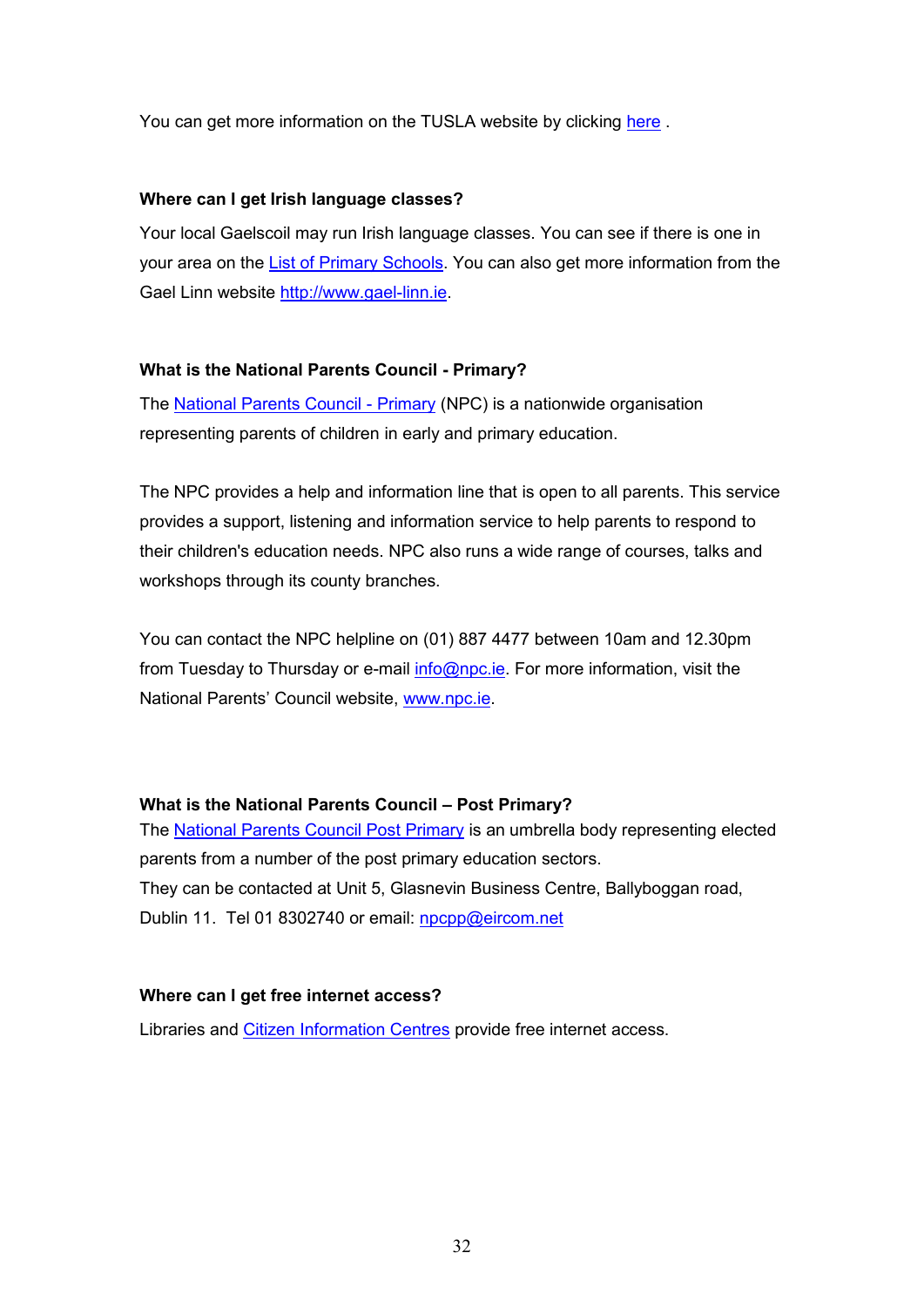You can get more information on the TUSLA website by clicking here.

#### **Where can I get Irish language classes?**

Your local Gaelscoil may run Irish language classes. You can see if there is one in your area on the List of Primary Schools. You can also get more information from the Gael Linn website http://www.gael-linn.ie.

### **What is the National Parents Council - Primary?**

The National Parents Council - Primary (NPC) is a nationwide organisation representing parents of children in early and primary education.

The NPC provides a help and information line that is open to all parents. This service provides a support, listening and information service to help parents to respond to their children's education needs. NPC also runs a wide range of courses, talks and workshops through its county branches.

You can contact the NPC helpline on (01) 887 4477 between 10am and 12.30pm from Tuesday to Thursday or e-mail info@npc.ie. For more information, visit the National Parents' Council website, www.npc.ie.

### **What is the National Parents Council – Post Primary?**

The National Parents Council Post Primary is an umbrella body representing elected parents from a number of the post primary education sectors. They can be contacted at Unit 5, Glasnevin Business Centre, Ballyboggan road, Dublin 11. Tel 01 8302740 or email: npcpp@eircom.net

### **Where can I get free internet access?**

Libraries and Citizen Information Centres provide free internet access.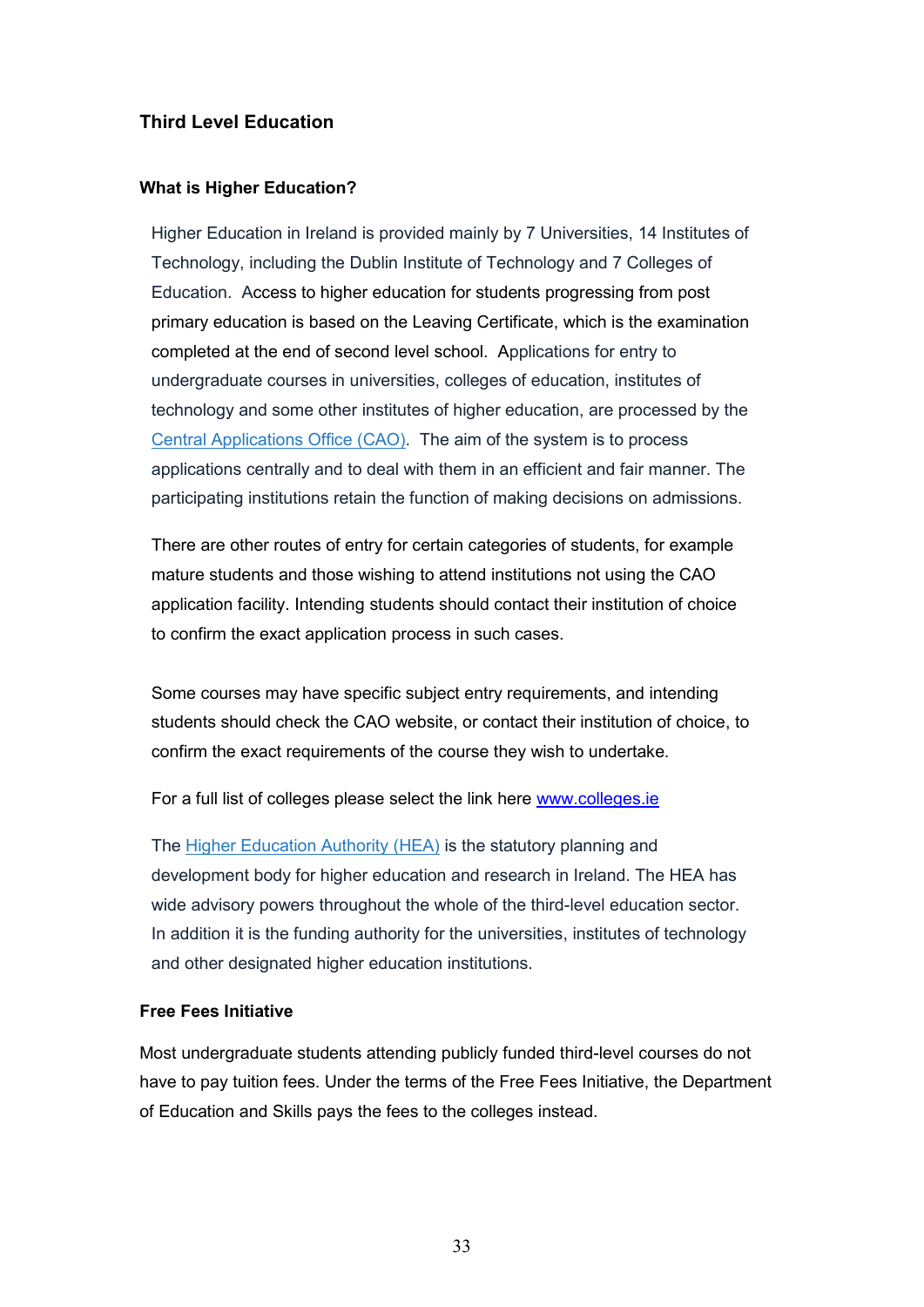# **Third Level Education**

#### **What is Higher Education?**

Higher Education in Ireland is provided mainly by 7 Universities, 14 Institutes of Technology, including the Dublin Institute of Technology and 7 Colleges of Education. Access to higher education for students progressing from post primary education is based on the Leaving Certificate, which is the examination completed at the end of second level school. Applications for entry to undergraduate courses in universities, colleges of education, institutes of technology and some other institutes of higher education, are processed by the Central Applications Office (CAO). The aim of the system is to process applications centrally and to deal with them in an efficient and fair manner. The participating institutions retain the function of making decisions on admissions.

There are other routes of entry for certain categories of students, for example mature students and those wishing to attend institutions not using the CAO application facility. Intending students should contact their institution of choice to confirm the exact application process in such cases.

Some courses may have specific subject entry requirements, and intending students should check the CAO website, or contact their institution of choice, to confirm the exact requirements of the course they wish to undertake.

For a full list of colleges please select the link here www.colleges.ie

The Higher Education Authority (HEA) is the statutory planning and development body for higher education and research in Ireland. The HEA has wide advisory powers throughout the whole of the third-level education sector. In addition it is the funding authority for the universities, institutes of technology and other designated higher education institutions.

#### **Free Fees Initiative**

Most undergraduate students attending publicly funded third-level courses do not have to pay tuition fees. Under the terms of the Free Fees Initiative, the Department of Education and Skills pays the fees to the colleges instead.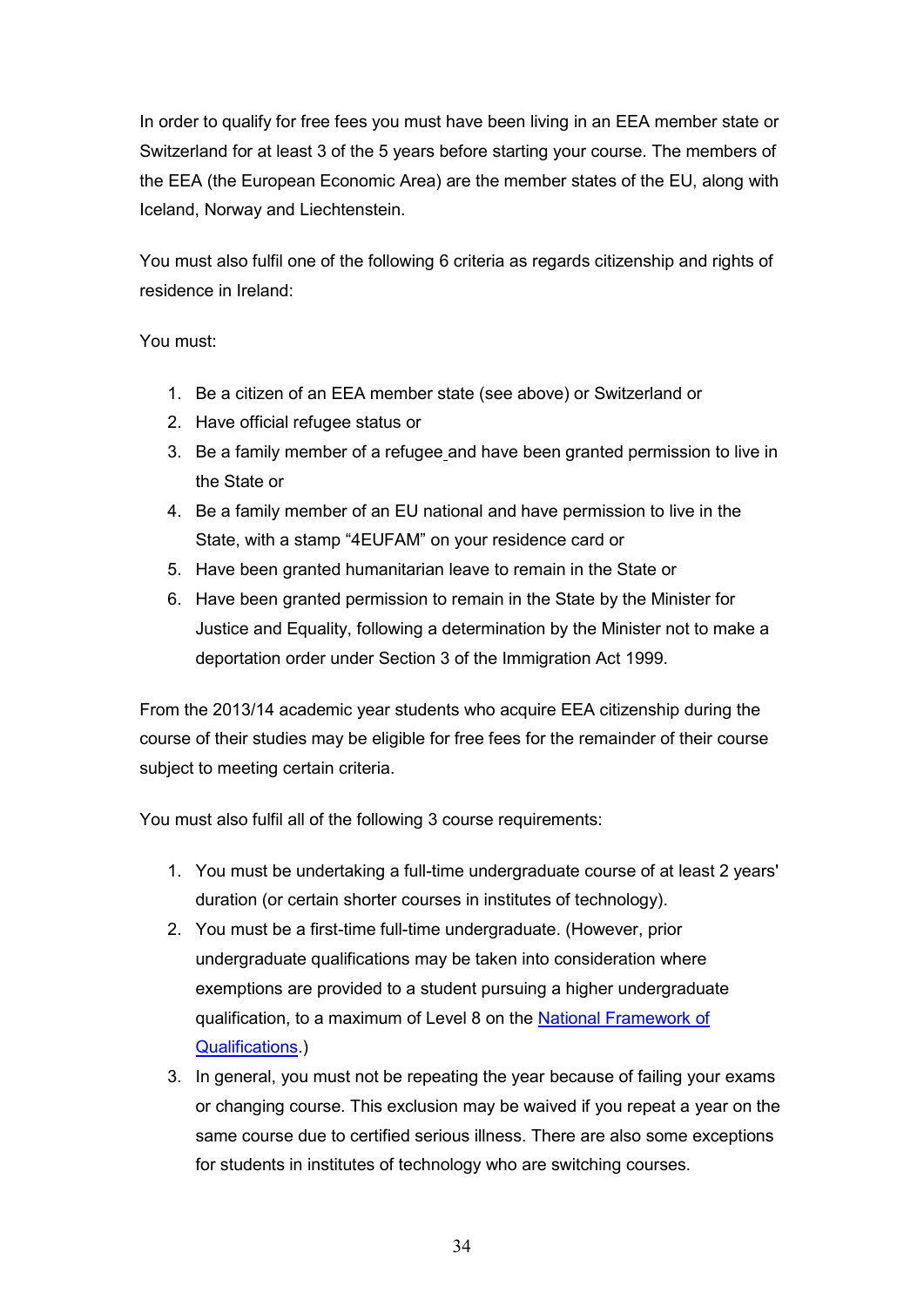In order to qualify for free fees you must have been living in an EEA member state or Switzerland for at least 3 of the 5 years before starting your course. The members of the EEA (the European Economic Area) are the member states of the EU, along with Iceland, Norway and Liechtenstein.

You must also fulfil one of the following 6 criteria as regards citizenship and rights of residence in Ireland:

# You must:

- 1. Be a citizen of an EEA member state (see above) or Switzerland or
- 2. Have official refugee status or
- 3. Be a family member of a refugee and have been granted permission to live in the State or
- 4. Be a family member of an EU national and have permission to live in the State, with a stamp "4EUFAM" on your residence card or
- 5. Have been granted humanitarian leave to remain in the State or
- 6. Have been granted permission to remain in the State by the Minister for Justice and Equality, following a determination by the Minister not to make a deportation order under Section 3 of the Immigration Act 1999.

From the 2013/14 academic year students who acquire EEA citizenship during the course of their studies may be eligible for free fees for the remainder of their course subject to meeting certain criteria.

You must also fulfil all of the following 3 course requirements:

- 1. You must be undertaking a full-time undergraduate course of at least 2 years' duration (or certain shorter courses in institutes of technology).
- 2. You must be a first-time full-time undergraduate. (However, prior undergraduate qualifications may be taken into consideration where exemptions are provided to a student pursuing a higher undergraduate qualification, to a maximum of Level 8 on the National Framework of Qualifications.)
- 3. In general, you must not be repeating the year because of failing your exams or changing course. This exclusion may be waived if you repeat a year on the same course due to certified serious illness. There are also some exceptions for students in institutes of technology who are switching courses.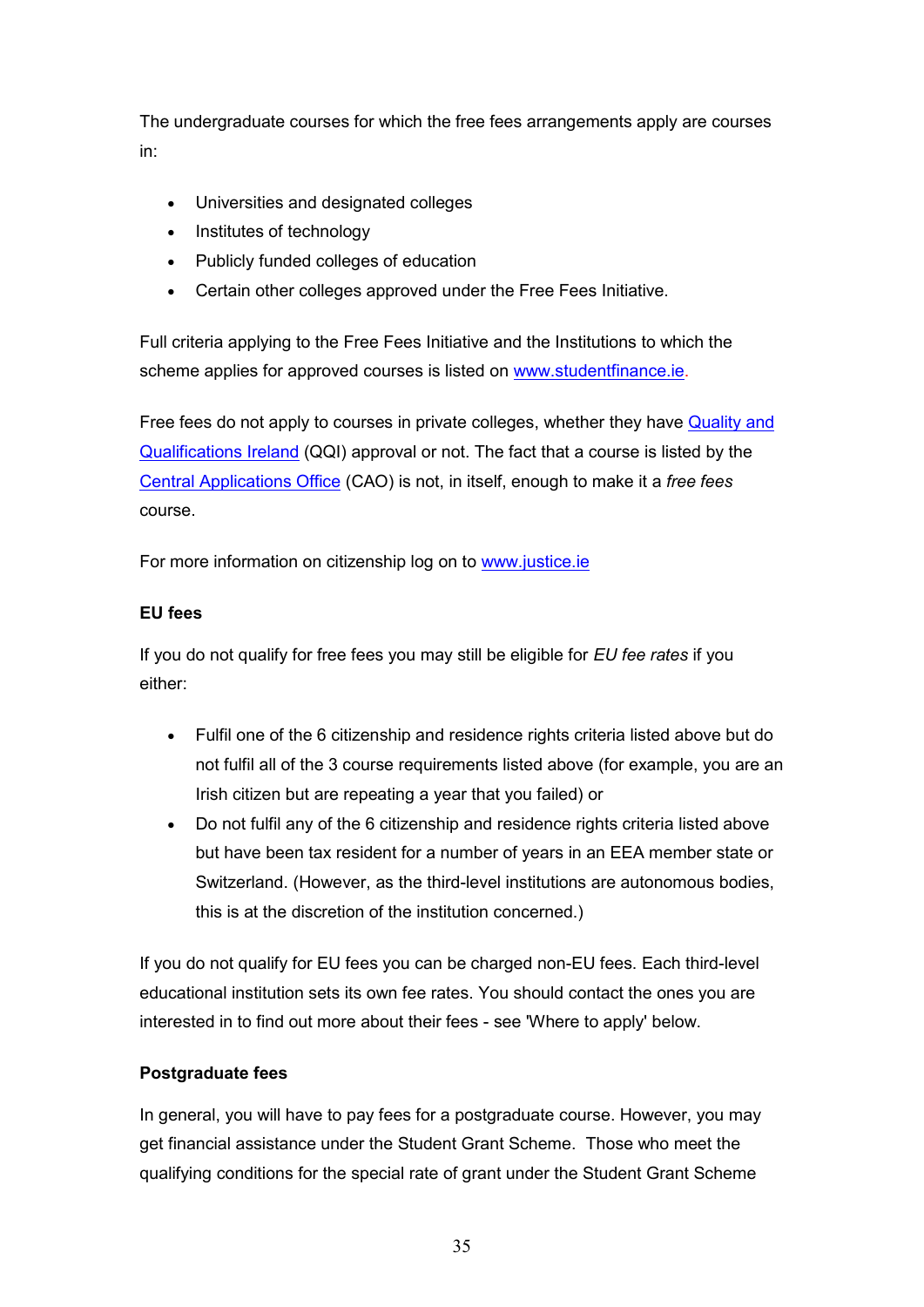The undergraduate courses for which the free fees arrangements apply are courses in:

- Universities and designated colleges
- Institutes of technology
- Publicly funded colleges of education
- Certain other colleges approved under the Free Fees Initiative.

Full criteria applying to the Free Fees Initiative and the Institutions to which the scheme applies for approved courses is listed on www.studentfinance.ie.

Free fees do not apply to courses in private colleges, whether they have Quality and Qualifications Ireland (QQI) approval or not. The fact that a course is listed by the Central Applications Office (CAO) is not, in itself, enough to make it a *free fees* course.

For more information on citizenship log on to www.justice.ie

### **EU fees**

If you do not qualify for free fees you may still be eligible for *EU fee rates* if you either:

- Fulfil one of the 6 citizenship and residence rights criteria listed above but do not fulfil all of the 3 course requirements listed above (for example, you are an Irish citizen but are repeating a year that you failed) or
- Do not fulfil any of the 6 citizenship and residence rights criteria listed above but have been tax resident for a number of years in an EEA member state or Switzerland. (However, as the third-level institutions are autonomous bodies, this is at the discretion of the institution concerned.)

If you do not qualify for EU fees you can be charged non-EU fees. Each third-level educational institution sets its own fee rates. You should contact the ones you are interested in to find out more about their fees - see 'Where to apply' below.

#### **Postgraduate fees**

In general, you will have to pay fees for a postgraduate course. However, you may get financial assistance under the Student Grant Scheme. Those who meet the qualifying conditions for the special rate of grant under the Student Grant Scheme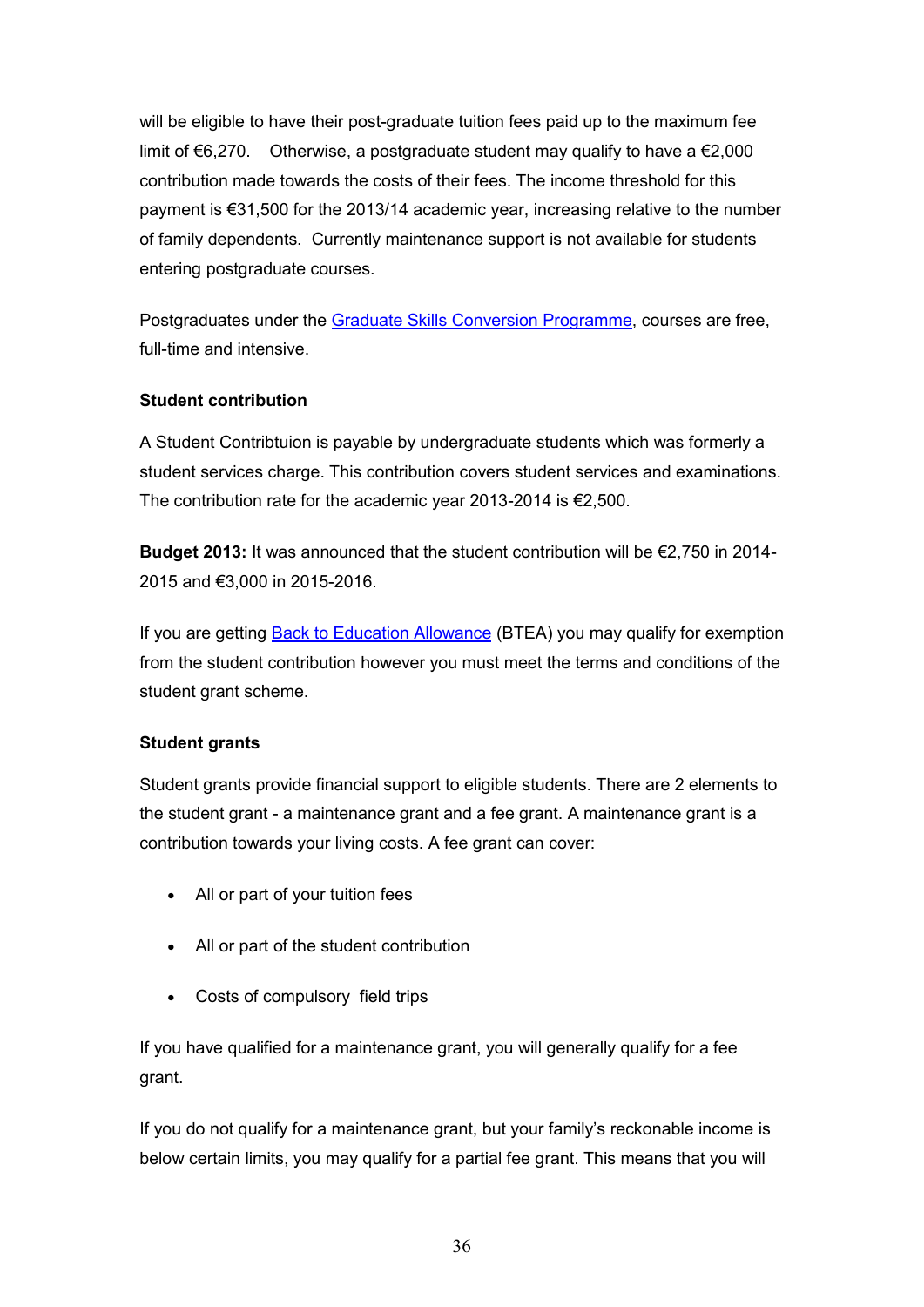will be eligible to have their post-graduate tuition fees paid up to the maximum fee limit of €6,270. Otherwise, a postgraduate student may qualify to have a €2,000 contribution made towards the costs of their fees. The income threshold for this payment is €31,500 for the 2013/14 academic year, increasing relative to the number of family dependents. Currently maintenance support is not available for students entering postgraduate courses.

Postgraduates under the Graduate Skills Conversion Programme, courses are free, full-time and intensive.

### **Student contribution**

A Student Contribtuion is payable by undergraduate students which was formerly a student services charge. This contribution covers student services and examinations. The contribution rate for the academic year 2013-2014 is €2,500.

**Budget 2013:** It was announced that the student contribution will be €2,750 in 2014- 2015 and €3,000 in 2015-2016.

If you are getting **Back to Education Allowance** (BTEA) you may qualify for exemption from the student contribution however you must meet the terms and conditions of the student grant scheme.

### **Student grants**

Student grants provide financial support to eligible students. There are 2 elements to the student grant - a maintenance grant and a fee grant. A maintenance grant is a contribution towards your living costs. A fee grant can cover:

- All or part of your tuition fees
- All or part of the student contribution
- Costs of compulsory field trips

If you have qualified for a maintenance grant, you will generally qualify for a fee grant.

If you do not qualify for a maintenance grant, but your family's reckonable income is below certain limits, you may qualify for a partial fee grant. This means that you will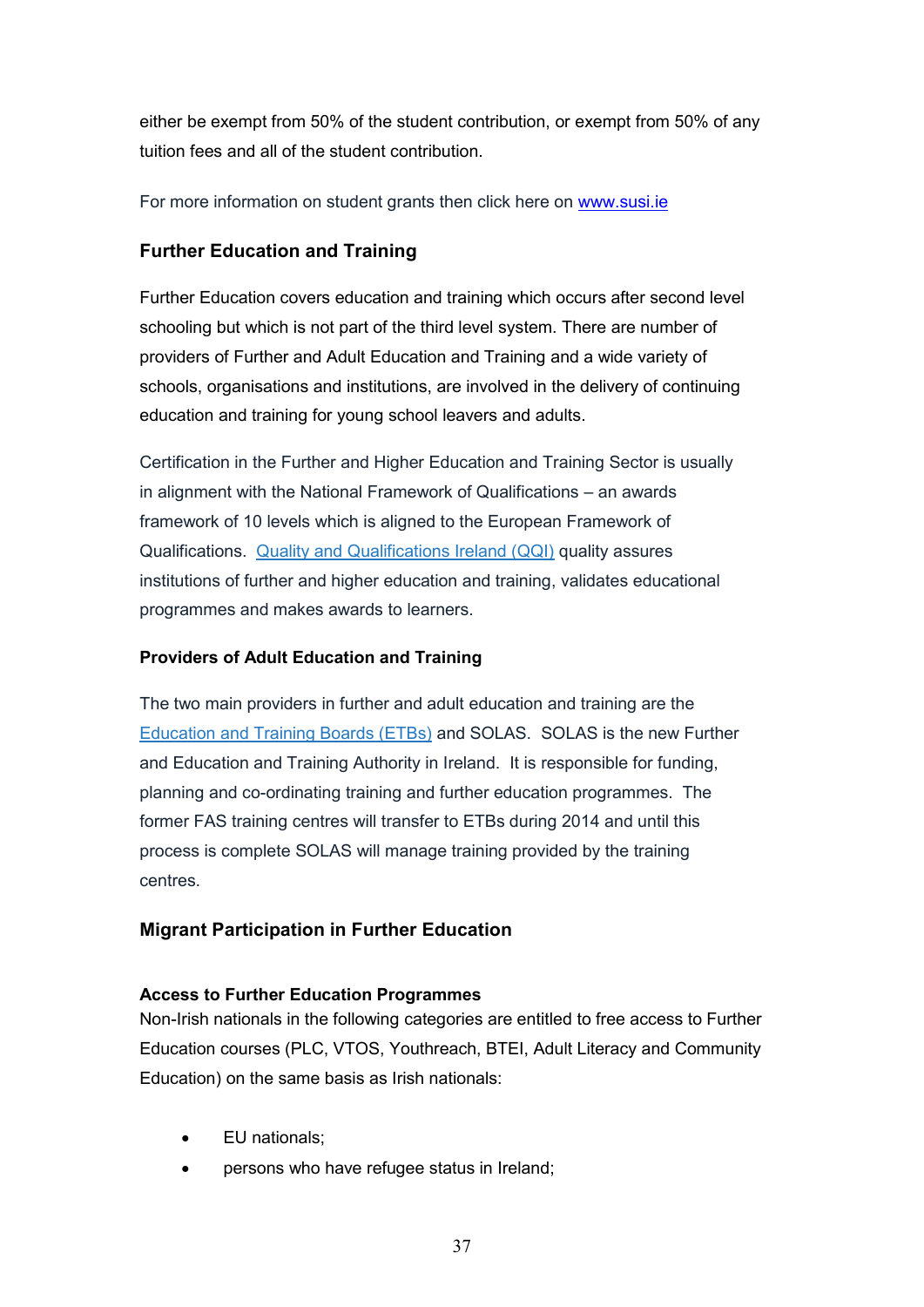either be exempt from 50% of the student contribution, or exempt from 50% of any tuition fees and all of the student contribution.

For more information on student grants then click here on www.susi.ie

# **Further Education and Training**

Further Education covers education and training which occurs after second level schooling but which is not part of the third level system. There are number of providers of Further and Adult Education and Training and a wide variety of schools, organisations and institutions, are involved in the delivery of continuing education and training for young school leavers and adults.

Certification in the Further and Higher Education and Training Sector is usually in alignment with the National Framework of Qualifications – an awards framework of 10 levels which is aligned to the European Framework of Qualifications. Quality and Qualifications Ireland (QQI) quality assures institutions of further and higher education and training, validates educational programmes and makes awards to learners.

### **Providers of Adult Education and Training**

The two main providers in further and adult education and training are the Education and Training Boards (ETBs) and SOLAS. SOLAS is the new Further and Education and Training Authority in Ireland. It is responsible for funding, planning and co-ordinating training and further education programmes. The former FAS training centres will transfer to ETBs during 2014 and until this process is complete SOLAS will manage training provided by the training centres.

# **Migrant Participation in Further Education**

### **Access to Further Education Programmes**

Non-Irish nationals in the following categories are entitled to free access to Further Education courses (PLC, VTOS, Youthreach, BTEI, Adult Literacy and Community Education) on the same basis as Irish nationals:

- EU nationals;
- persons who have refugee status in Ireland;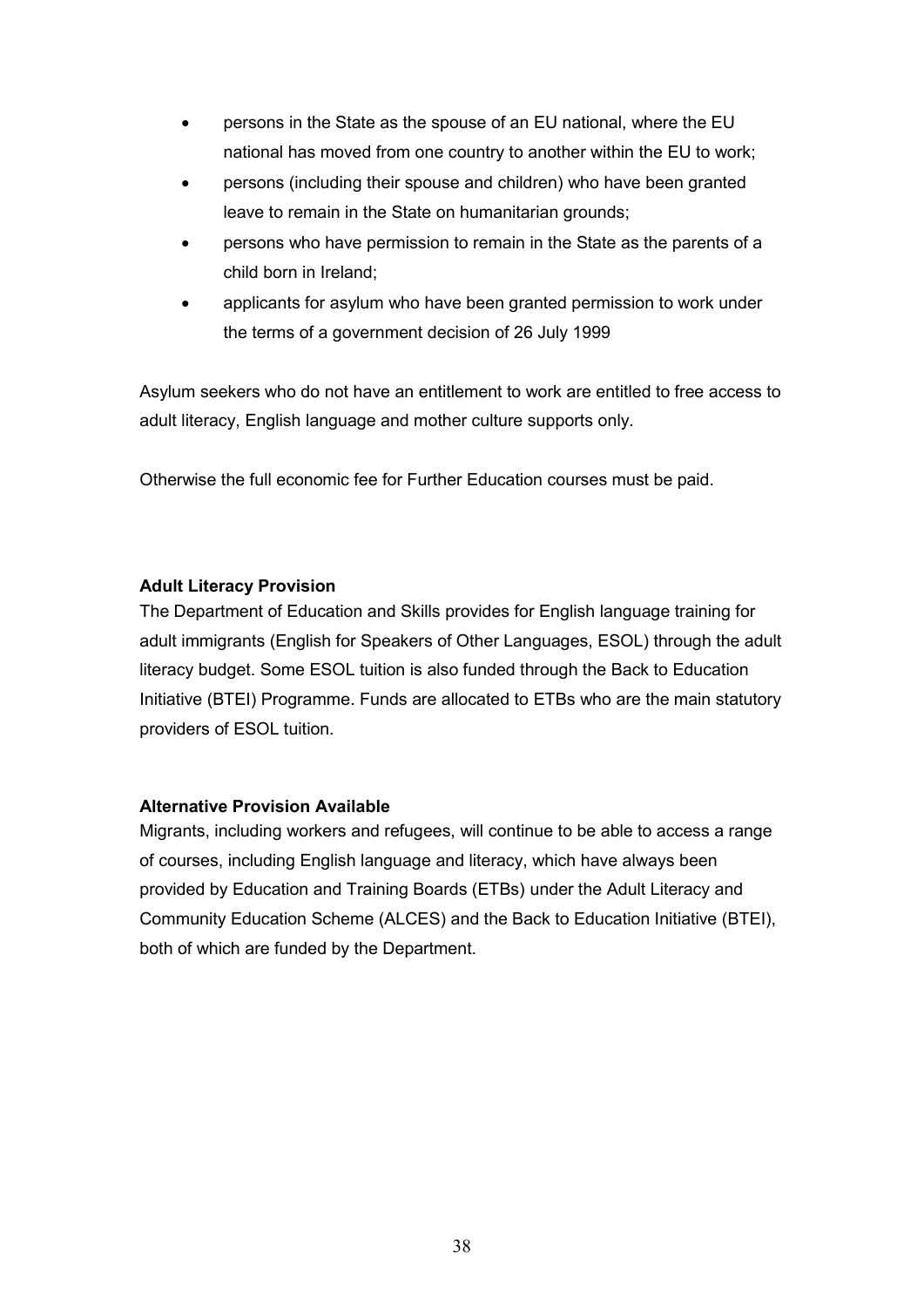- persons in the State as the spouse of an EU national, where the EU national has moved from one country to another within the EU to work;
- persons (including their spouse and children) who have been granted leave to remain in the State on humanitarian grounds;
- persons who have permission to remain in the State as the parents of a child born in Ireland;
- applicants for asylum who have been granted permission to work under the terms of a government decision of 26 July 1999

Asylum seekers who do not have an entitlement to work are entitled to free access to adult literacy, English language and mother culture supports only.

Otherwise the full economic fee for Further Education courses must be paid.

#### **Adult Literacy Provision**

The Department of Education and Skills provides for English language training for adult immigrants (English for Speakers of Other Languages, ESOL) through the adult literacy budget. Some ESOL tuition is also funded through the Back to Education Initiative (BTEI) Programme. Funds are allocated to ETBs who are the main statutory providers of ESOL tuition.

#### **Alternative Provision Available**

Migrants, including workers and refugees, will continue to be able to access a range of courses, including English language and literacy, which have always been provided by Education and Training Boards (ETBs) under the Adult Literacy and Community Education Scheme (ALCES) and the Back to Education Initiative (BTEI), both of which are funded by the Department.